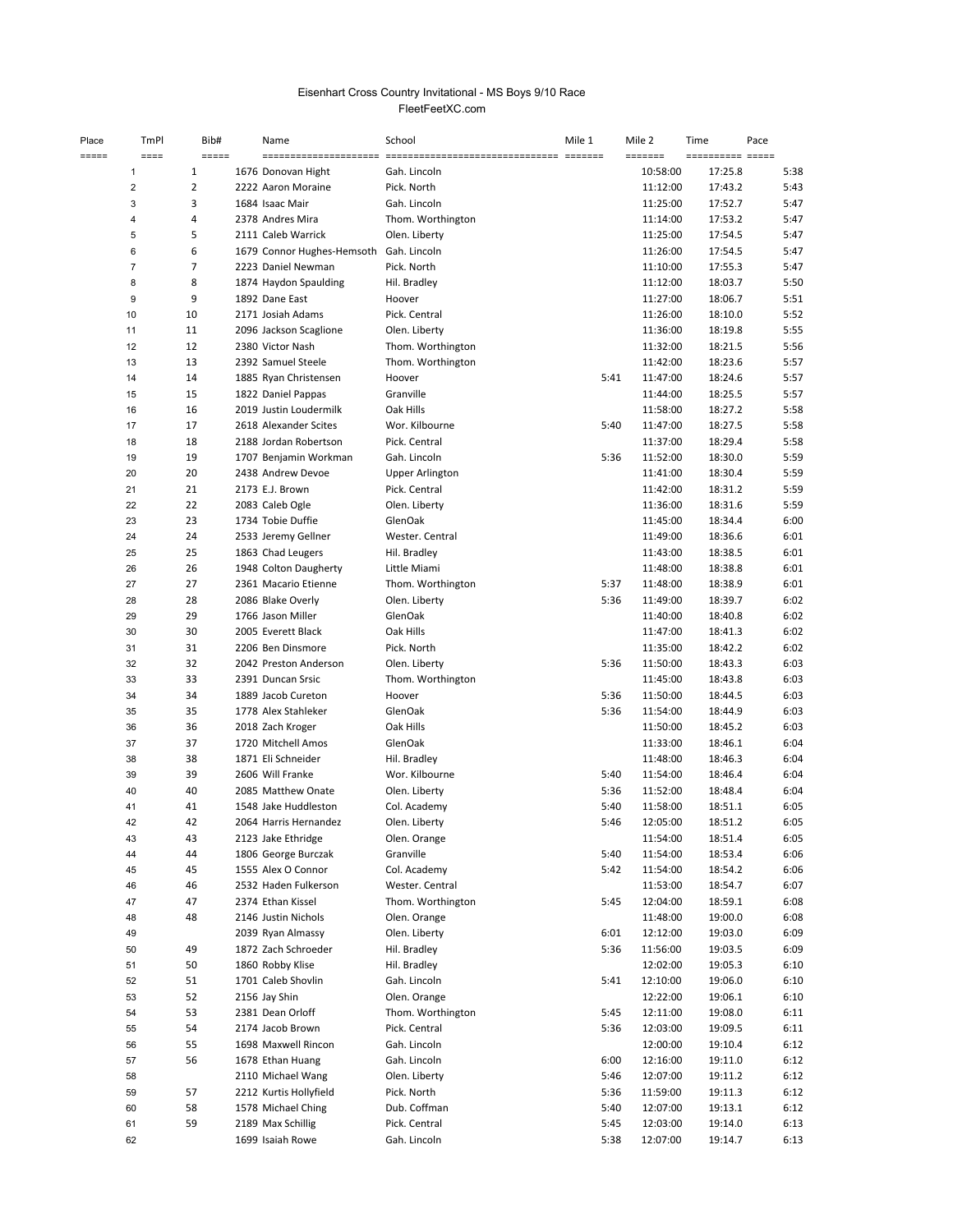## FleetFeetXC.com Eisenhart Cross Country Invitational - MS Boys 9/10 Race

| Place | TmPl           | Bib#                     | Name                                       | School                        | Mile 1 | Mile 2       |                      | Time                        | Pace         |
|-------|----------------|--------------------------|--------------------------------------------|-------------------------------|--------|--------------|----------------------|-----------------------------|--------------|
| ===== | $===$<br>1     | $=$ $=$ $=$ $=$ $=$<br>1 | 1676 Donovan Hight                         | Gah. Lincoln                  |        | $=$ ======   | 10:58:00             | ========== =====<br>17:25.8 | 5:38         |
|       | $\overline{2}$ | $\overline{2}$           | 2222 Aaron Moraine                         | Pick. North                   |        |              | 11:12:00             | 17:43.2                     | 5:43         |
|       | 3              | 3                        | 1684 Isaac Mair                            | Gah. Lincoln                  |        |              | 11:25:00             | 17:52.7                     | 5:47         |
|       | 4              | 4                        | 2378 Andres Mira                           | Thom. Worthington             |        |              | 11:14:00             | 17:53.2                     | 5:47         |
|       | 5              | 5                        | 2111 Caleb Warrick                         | Olen. Liberty                 |        |              | 11:25:00             | 17:54.5                     | 5:47         |
|       | 6              | 6                        | 1679 Connor Hughes-Hemsoth Gah. Lincoln    |                               |        |              | 11:26:00             | 17:54.5                     | 5:47         |
|       | $\overline{7}$ | 7                        | 2223 Daniel Newman                         | Pick. North                   |        |              | 11:10:00             | 17:55.3                     | 5:47         |
|       | 8              | 8                        | 1874 Haydon Spaulding                      | Hil. Bradley                  |        |              | 11:12:00             | 18:03.7                     | 5:50         |
|       | 9              | 9                        | 1892 Dane East                             | Hoover                        |        |              | 11:27:00             | 18:06.7                     | 5:51         |
|       | 10             | 10                       | 2171 Josiah Adams                          | Pick. Central                 |        |              | 11:26:00             | 18:10.0                     | 5:52         |
|       | 11             | 11                       | 2096 Jackson Scaglione                     | Olen. Liberty                 |        |              | 11:36:00             | 18:19.8                     | 5:55         |
|       | 12             | 12                       | 2380 Victor Nash                           | Thom. Worthington             |        |              | 11:32:00             | 18:21.5                     | 5:56         |
|       | 13             | 13                       | 2392 Samuel Steele                         | Thom. Worthington             |        |              | 11:42:00             | 18:23.6                     | 5:57         |
|       | 14             | 14                       | 1885 Ryan Christensen                      | Hoover                        |        | 5:41         | 11:47:00             | 18:24.6                     | 5:57         |
|       | 15             | 15                       | 1822 Daniel Pappas                         | Granville                     |        |              | 11:44:00             | 18:25.5                     | 5:57         |
|       | 16             | 16                       | 2019 Justin Loudermilk                     | Oak Hills                     |        |              | 11:58:00             | 18:27.2                     | 5:58         |
|       | 17             | 17                       | 2618 Alexander Scites                      | Wor. Kilbourne                |        | 5:40         | 11:47:00             | 18:27.5                     | 5:58         |
|       | 18             | 18                       | 2188 Jordan Robertson                      | Pick. Central                 |        |              | 11:37:00             | 18:29.4                     | 5:58         |
|       | 19             | 19                       | 1707 Benjamin Workman                      | Gah. Lincoln                  |        | 5:36         | 11:52:00             | 18:30.0                     | 5:59         |
|       | 20             | 20                       | 2438 Andrew Devoe                          | <b>Upper Arlington</b>        |        |              | 11:41:00             | 18:30.4                     | 5:59         |
|       | 21             | 21                       | 2173 E.J. Brown                            | Pick. Central                 |        |              | 11:42:00             | 18:31.2                     | 5:59         |
|       | 22             | 22                       | 2083 Caleb Ogle                            | Olen. Liberty                 |        |              | 11:36:00             | 18:31.6                     | 5:59         |
|       | 23             | 23                       | 1734 Tobie Duffie                          | GlenOak                       |        |              | 11:45:00             | 18:34.4                     | 6:00         |
|       | 24             | 24                       | 2533 Jeremy Gellner                        | Wester. Central               |        |              | 11:49:00             | 18:36.6                     | 6:01         |
|       | 25             | 25                       | 1863 Chad Leugers                          | Hil. Bradley                  |        |              | 11:43:00             | 18:38.5                     | 6:01         |
|       | 26             | 26                       | 1948 Colton Daugherty                      | Little Miami                  |        |              | 11:48:00             | 18:38.8                     | 6:01         |
|       | 27             | 27                       | 2361 Macario Etienne                       | Thom. Worthington             |        | 5:37         | 11:48:00             | 18:38.9                     | 6:01         |
|       | 28             | 28                       | 2086 Blake Overly                          | Olen. Liberty                 |        | 5:36         | 11:49:00             | 18:39.7                     | 6:02         |
|       | 29             | 29                       | 1766 Jason Miller                          | GlenOak                       |        |              | 11:40:00             | 18:40.8                     | 6:02         |
|       | 30             | 30                       | 2005 Everett Black                         | Oak Hills                     |        |              | 11:47:00             | 18:41.3                     | 6:02         |
|       | 31             | 31                       | 2206 Ben Dinsmore                          | Pick. North                   |        |              | 11:35:00             | 18:42.2                     | 6:02         |
|       | 32             | 32                       | 2042 Preston Anderson                      | Olen. Liberty                 |        | 5:36         | 11:50:00             | 18:43.3                     | 6:03         |
|       | 33             | 33                       | 2391 Duncan Srsic                          | Thom. Worthington             |        |              | 11:45:00             | 18:43.8                     | 6:03         |
|       | 34             | 34                       | 1889 Jacob Cureton                         | Hoover                        |        | 5:36         | 11:50:00             | 18:44.5                     | 6:03         |
|       | 35             | 35                       | 1778 Alex Stahleker                        | GlenOak                       |        | 5:36         | 11:54:00             | 18:44.9                     | 6:03         |
|       | 36             | 36                       | 2018 Zach Kroger                           | Oak Hills                     |        |              | 11:50:00             | 18:45.2                     | 6:03         |
|       | 37             | 37                       | 1720 Mitchell Amos                         | GlenOak                       |        |              | 11:33:00             | 18:46.1                     | 6:04         |
|       | 38             | 38<br>39                 | 1871 Eli Schneider<br>2606 Will Franke     | Hil. Bradley                  |        |              | 11:48:00             | 18:46.3                     | 6:04<br>6:04 |
|       | 39             |                          |                                            | Wor. Kilbourne                |        | 5:40         | 11:54:00             | 18:46.4                     |              |
|       | 40             | 40<br>41                 | 2085 Matthew Onate<br>1548 Jake Huddleston | Olen. Liberty                 |        | 5:36<br>5:40 | 11:52:00<br>11:58:00 | 18:48.4                     | 6:04<br>6:05 |
|       | 41<br>42       | 42                       | 2064 Harris Hernandez                      | Col. Academy<br>Olen. Liberty |        | 5:46         | 12:05:00             | 18:51.1<br>18:51.2          | 6:05         |
|       | 43             | 43                       | 2123 Jake Ethridge                         | Olen. Orange                  |        |              | 11:54:00             | 18:51.4                     | 6:05         |
|       | 44             | 44                       | 1806 George Burczak                        | Granville                     |        | 5:40         | 11:54:00             | 18:53.4                     | 6:06         |
|       | 45             | 45                       | 1555 Alex O Connor                         | Col. Academy                  |        | 5:42         | 11:54:00             | 18:54.2                     | 6:06         |
|       | 46             | 46                       | 2532 Haden Fulkerson                       | Wester. Central               |        |              | 11:53:00             | 18:54.7                     | 6:07         |
|       | 47             | 47                       | 2374 Ethan Kissel                          | Thom. Worthington             |        | 5:45         | 12:04:00             | 18:59.1                     | 6:08         |
|       | 48             | 48                       | 2146 Justin Nichols                        | Olen. Orange                  |        |              | 11:48:00             | 19:00.0                     | 6:08         |
|       | 49             |                          | 2039 Ryan Almassy                          | Olen. Liberty                 |        | 6:01         | 12:12:00             | 19:03.0                     | 6:09         |
|       | 50             | 49                       | 1872 Zach Schroeder                        | Hil. Bradley                  |        | 5:36         | 11:56:00             | 19:03.5                     | 6:09         |
|       | 51             | 50                       | 1860 Robby Klise                           | Hil. Bradley                  |        |              | 12:02:00             | 19:05.3                     | 6:10         |
|       | 52             | 51                       | 1701 Caleb Shovlin                         | Gah. Lincoln                  |        | 5:41         | 12:10:00             | 19:06.0                     | 6:10         |
|       | 53             | 52                       | 2156 Jay Shin                              | Olen. Orange                  |        |              | 12:22:00             | 19:06.1                     | 6:10         |
|       | 54             | 53                       | 2381 Dean Orloff                           | Thom. Worthington             |        | 5:45         | 12:11:00             | 19:08.0                     | 6:11         |
|       | 55             | 54                       | 2174 Jacob Brown                           | Pick. Central                 |        | 5:36         | 12:03:00             | 19:09.5                     | 6:11         |
|       | 56             | 55                       | 1698 Maxwell Rincon                        | Gah. Lincoln                  |        |              | 12:00:00             | 19:10.4                     | 6:12         |
|       | 57             | 56                       | 1678 Ethan Huang                           | Gah. Lincoln                  |        | 6:00         | 12:16:00             | 19:11.0                     | 6:12         |
|       | 58             |                          | 2110 Michael Wang                          | Olen. Liberty                 |        | 5:46         | 12:07:00             | 19:11.2                     | 6:12         |
|       | 59             | 57                       | 2212 Kurtis Hollyfield                     | Pick. North                   |        | 5:36         | 11:59:00             | 19:11.3                     | 6:12         |
|       | 60             | 58                       | 1578 Michael Ching                         | Dub. Coffman                  |        | 5:40         | 12:07:00             | 19:13.1                     | 6:12         |
|       | 61             | 59                       | 2189 Max Schillig                          | Pick. Central                 |        | 5:45         | 12:03:00             | 19:14.0                     | 6:13         |
|       | 62             |                          | 1699 Isaiah Rowe                           | Gah. Lincoln                  |        | 5:38         | 12:07:00             | 19:14.7                     | 6:13         |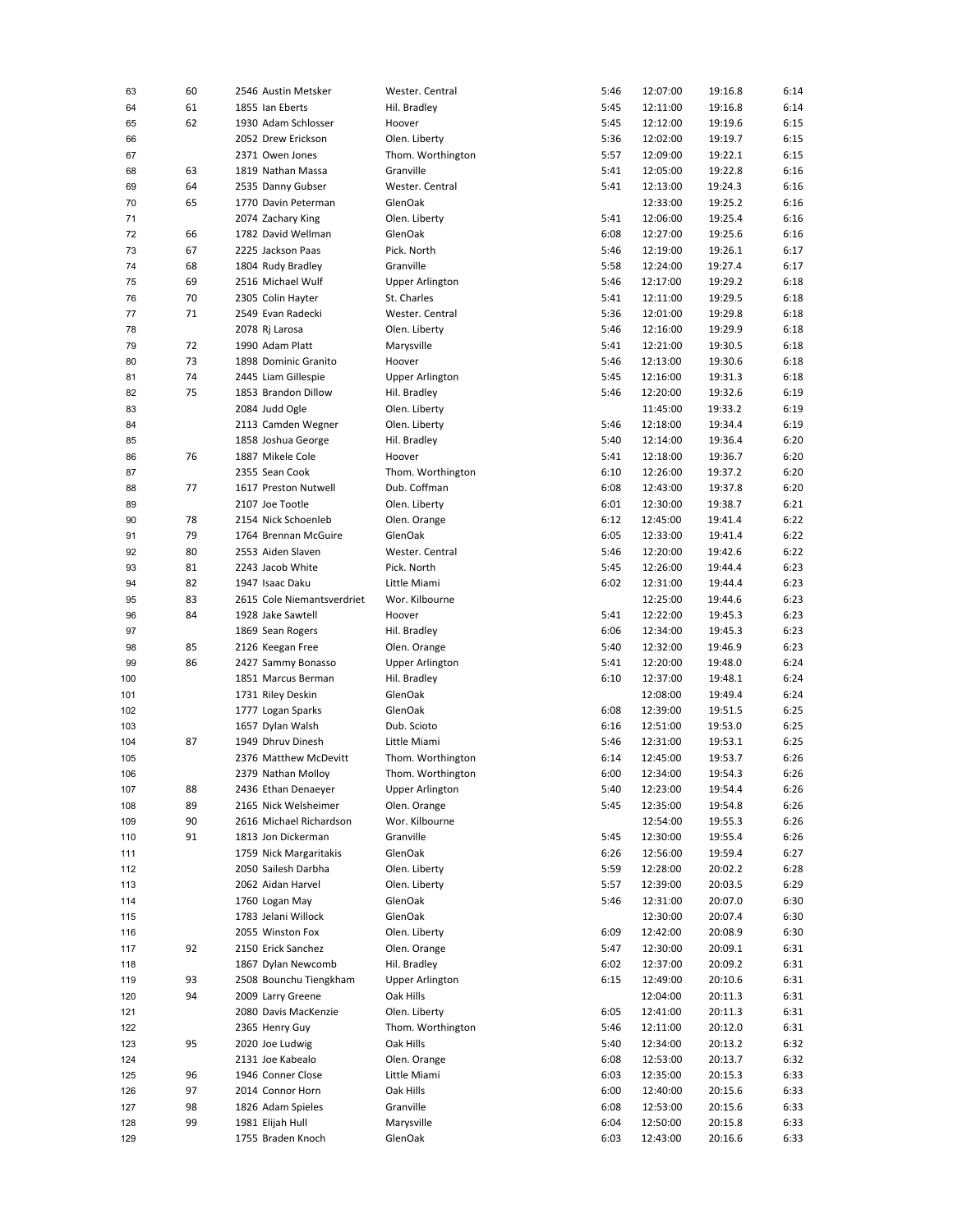| 63  | 60 | 2546 Austin Metsker        | Wester. Central        | 5:46 | 12:07:00 | 19:16.8 | 6:14 |
|-----|----|----------------------------|------------------------|------|----------|---------|------|
| 64  | 61 | 1855 Ian Eberts            | Hil. Bradley           | 5:45 | 12:11:00 | 19:16.8 | 6:14 |
| 65  | 62 | 1930 Adam Schlosser        | Hoover                 | 5:45 | 12:12:00 | 19:19.6 | 6:15 |
| 66  |    | 2052 Drew Erickson         | Olen. Liberty          | 5:36 | 12:02:00 | 19:19.7 | 6:15 |
|     |    |                            |                        | 5:57 |          |         | 6:15 |
| 67  |    | 2371 Owen Jones            | Thom. Worthington      |      | 12:09:00 | 19:22.1 |      |
| 68  | 63 | 1819 Nathan Massa          | Granville              | 5:41 | 12:05:00 | 19:22.8 | 6:16 |
| 69  | 64 | 2535 Danny Gubser          | Wester. Central        | 5:41 | 12:13:00 | 19:24.3 | 6:16 |
| 70  | 65 | 1770 Davin Peterman        | GlenOak                |      | 12:33:00 | 19:25.2 | 6:16 |
| 71  |    | 2074 Zachary King          | Olen. Liberty          | 5:41 | 12:06:00 | 19:25.4 | 6:16 |
| 72  | 66 | 1782 David Wellman         | GlenOak                | 6:08 | 12:27:00 | 19:25.6 | 6:16 |
| 73  | 67 | 2225 Jackson Paas          | Pick. North            | 5:46 | 12:19:00 | 19:26.1 | 6:17 |
| 74  | 68 | 1804 Rudy Bradley          | Granville              | 5:58 | 12:24:00 | 19:27.4 | 6:17 |
|     |    |                            |                        |      |          |         |      |
| 75  | 69 | 2516 Michael Wulf          | <b>Upper Arlington</b> | 5:46 | 12:17:00 | 19:29.2 | 6:18 |
| 76  | 70 | 2305 Colin Hayter          | St. Charles            | 5:41 | 12:11:00 | 19:29.5 | 6:18 |
| 77  | 71 | 2549 Evan Radecki          | Wester. Central        | 5:36 | 12:01:00 | 19:29.8 | 6:18 |
| 78  |    | 2078 Rj Larosa             | Olen. Liberty          | 5:46 | 12:16:00 | 19:29.9 | 6:18 |
| 79  | 72 | 1990 Adam Platt            | Marysville             | 5:41 | 12:21:00 | 19:30.5 | 6:18 |
| 80  | 73 | 1898 Dominic Granito       | Hoover                 | 5:46 | 12:13:00 | 19:30.6 | 6:18 |
| 81  | 74 | 2445 Liam Gillespie        | <b>Upper Arlington</b> | 5:45 | 12:16:00 | 19:31.3 | 6:18 |
| 82  | 75 | 1853 Brandon Dillow        | Hil. Bradley           | 5:46 | 12:20:00 | 19:32.6 | 6:19 |
|     |    |                            |                        |      |          |         |      |
| 83  |    | 2084 Judd Ogle             | Olen. Liberty          |      | 11:45:00 | 19:33.2 | 6:19 |
| 84  |    | 2113 Camden Wegner         | Olen. Liberty          | 5:46 | 12:18:00 | 19:34.4 | 6:19 |
| 85  |    | 1858 Joshua George         | Hil. Bradley           | 5:40 | 12:14:00 | 19:36.4 | 6:20 |
| 86  | 76 | 1887 Mikele Cole           | Hoover                 | 5:41 | 12:18:00 | 19:36.7 | 6:20 |
| 87  |    | 2355 Sean Cook             | Thom. Worthington      | 6:10 | 12:26:00 | 19:37.2 | 6:20 |
| 88  | 77 | 1617 Preston Nutwell       | Dub. Coffman           | 6:08 | 12:43:00 | 19:37.8 | 6:20 |
| 89  |    | 2107 Joe Tootle            | Olen. Liberty          | 6:01 | 12:30:00 | 19:38.7 | 6:21 |
|     |    |                            |                        |      |          |         |      |
| 90  | 78 | 2154 Nick Schoenleb        | Olen. Orange           | 6:12 | 12:45:00 | 19:41.4 | 6:22 |
| 91  | 79 | 1764 Brennan McGuire       | GlenOak                | 6:05 | 12:33:00 | 19:41.4 | 6:22 |
| 92  | 80 | 2553 Aiden Slaven          | Wester. Central        | 5:46 | 12:20:00 | 19:42.6 | 6:22 |
| 93  | 81 | 2243 Jacob White           | Pick. North            | 5:45 | 12:26:00 | 19:44.4 | 6:23 |
| 94  | 82 | 1947 Isaac Daku            | Little Miami           | 6:02 | 12:31:00 | 19:44.4 | 6:23 |
| 95  | 83 | 2615 Cole Niemantsverdriet | Wor. Kilbourne         |      | 12:25:00 | 19:44.6 | 6:23 |
| 96  | 84 | 1928 Jake Sawtell          | Hoover                 | 5:41 | 12:22:00 | 19:45.3 | 6:23 |
| 97  |    | 1869 Sean Rogers           | Hil. Bradley           | 6:06 | 12:34:00 | 19:45.3 | 6:23 |
|     |    |                            |                        |      |          |         |      |
| 98  | 85 | 2126 Keegan Free           | Olen. Orange           | 5:40 | 12:32:00 | 19:46.9 | 6:23 |
| 99  | 86 | 2427 Sammy Bonasso         | <b>Upper Arlington</b> | 5:41 | 12:20:00 | 19:48.0 | 6:24 |
| 100 |    | 1851 Marcus Berman         | Hil. Bradley           | 6:10 | 12:37:00 | 19:48.1 | 6:24 |
| 101 |    | 1731 Riley Deskin          | GlenOak                |      | 12:08:00 | 19:49.4 | 6:24 |
| 102 |    | 1777 Logan Sparks          | GlenOak                | 6:08 | 12:39:00 | 19:51.5 | 6:25 |
| 103 |    | 1657 Dylan Walsh           | Dub. Scioto            | 6:16 | 12:51:00 | 19:53.0 | 6:25 |
| 104 | 87 | 1949 Dhruv Dinesh          | Little Miami           | 5:46 | 12:31:00 | 19:53.1 | 6:25 |
| 105 |    | 2376 Matthew McDevitt      | Thom. Worthington      | 6:14 | 12:45:00 | 19:53.7 | 6:26 |
|     |    |                            |                        |      |          |         |      |
| 106 |    | 2379 Nathan Molloy         | Thom. Worthington      | 6:00 | 12:34:00 | 19:54.3 | 6:26 |
| 107 | 88 | 2436 Ethan Denaeyer        | <b>Upper Arlington</b> | 5:40 | 12:23:00 | 19:54.4 | 6:26 |
| 108 | 89 | 2165 Nick Welsheimer       | Olen. Orange           | 5:45 | 12:35:00 | 19:54.8 | 6:26 |
| 109 | 90 | 2616 Michael Richardson    | Wor. Kilbourne         |      | 12:54:00 | 19:55.3 | 6:26 |
| 110 | 91 | 1813 Jon Dickerman         | Granville              | 5:45 | 12:30:00 | 19:55.4 | 6:26 |
| 111 |    | 1759 Nick Margaritakis     | GlenOak                | 6:26 | 12:56:00 | 19:59.4 | 6:27 |
| 112 |    | 2050 Sailesh Darbha        | Olen. Liberty          | 5:59 | 12:28:00 | 20:02.2 | 6:28 |
| 113 |    | 2062 Aidan Harvel          | Olen. Liberty          | 5:57 | 12:39:00 | 20:03.5 | 6:29 |
|     |    |                            |                        |      |          |         |      |
| 114 |    | 1760 Logan May             | GlenOak                | 5:46 | 12:31:00 | 20:07.0 | 6:30 |
| 115 |    | 1783 Jelani Willock        | GlenOak                |      | 12:30:00 | 20:07.4 | 6:30 |
| 116 |    | 2055 Winston Fox           | Olen. Liberty          | 6:09 | 12:42:00 | 20:08.9 | 6:30 |
| 117 | 92 | 2150 Erick Sanchez         | Olen. Orange           | 5:47 | 12:30:00 | 20:09.1 | 6:31 |
| 118 |    | 1867 Dylan Newcomb         | Hil. Bradley           | 6:02 | 12:37:00 | 20:09.2 | 6:31 |
| 119 | 93 | 2508 Bounchu Tiengkham     | <b>Upper Arlington</b> | 6:15 | 12:49:00 | 20:10.6 | 6:31 |
| 120 | 94 | 2009 Larry Greene          | Oak Hills              |      | 12:04:00 | 20:11.3 | 6:31 |
| 121 |    | 2080 Davis MacKenzie       | Olen. Liberty          | 6:05 | 12:41:00 | 20:11.3 | 6:31 |
|     |    |                            |                        |      |          |         |      |
| 122 |    | 2365 Henry Guy             | Thom. Worthington      | 5:46 | 12:11:00 | 20:12.0 | 6:31 |
| 123 | 95 | 2020 Joe Ludwig            | Oak Hills              | 5:40 | 12:34:00 | 20:13.2 | 6:32 |
| 124 |    | 2131 Joe Kabealo           | Olen. Orange           | 6:08 | 12:53:00 | 20:13.7 | 6:32 |
| 125 | 96 | 1946 Conner Close          | Little Miami           | 6:03 | 12:35:00 | 20:15.3 | 6:33 |
| 126 | 97 | 2014 Connor Horn           | Oak Hills              | 6:00 | 12:40:00 | 20:15.6 | 6:33 |
| 127 | 98 | 1826 Adam Spieles          | Granville              | 6:08 | 12:53:00 | 20:15.6 | 6:33 |
| 128 | 99 | 1981 Elijah Hull           | Marysville             | 6:04 | 12:50:00 | 20:15.8 | 6:33 |
| 129 |    | 1755 Braden Knoch          | GlenOak                | 6:03 | 12:43:00 | 20:16.6 | 6:33 |
|     |    |                            |                        |      |          |         |      |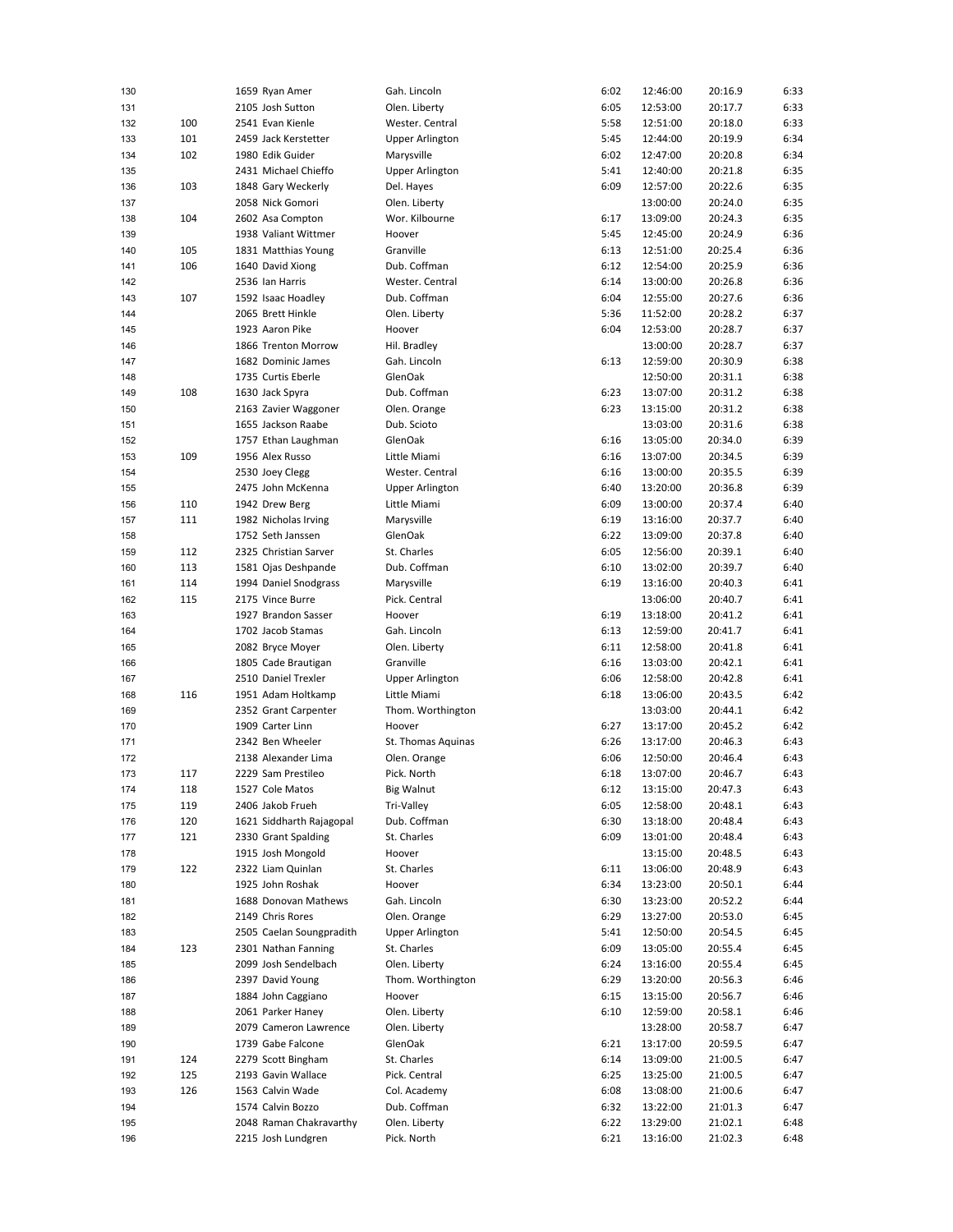| 130 |     | 1659 Ryan Amer           | Gah. Lincoln           | 6:02 | 12:46:00 | 20:16.9 | 6:33 |
|-----|-----|--------------------------|------------------------|------|----------|---------|------|
| 131 |     | 2105 Josh Sutton         | Olen. Liberty          | 6:05 | 12:53:00 | 20:17.7 | 6:33 |
| 132 | 100 | 2541 Evan Kienle         | Wester. Central        | 5:58 | 12:51:00 | 20:18.0 | 6:33 |
| 133 | 101 | 2459 Jack Kerstetter     | Upper Arlington        | 5:45 | 12:44:00 | 20:19.9 | 6:34 |
| 134 | 102 | 1980 Edik Guider         | Marysville             | 6:02 | 12:47:00 | 20:20.8 | 6:34 |
|     |     |                          |                        |      |          |         |      |
| 135 |     | 2431 Michael Chieffo     | <b>Upper Arlington</b> | 5:41 | 12:40:00 | 20:21.8 | 6:35 |
| 136 | 103 | 1848 Gary Weckerly       | Del. Hayes             | 6:09 | 12:57:00 | 20:22.6 | 6:35 |
| 137 |     | 2058 Nick Gomori         | Olen. Liberty          |      | 13:00:00 | 20:24.0 | 6:35 |
| 138 | 104 | 2602 Asa Compton         | Wor. Kilbourne         | 6:17 | 13:09:00 | 20:24.3 | 6:35 |
| 139 |     | 1938 Valiant Wittmer     | Hoover                 | 5:45 | 12:45:00 | 20:24.9 | 6:36 |
| 140 | 105 | 1831 Matthias Young      | Granville              | 6:13 | 12:51:00 | 20:25.4 | 6:36 |
| 141 | 106 | 1640 David Xiong         | Dub. Coffman           | 6:12 | 12:54:00 | 20:25.9 | 6:36 |
|     |     | 2536 Ian Harris          | Wester. Central        | 6:14 | 13:00:00 | 20:26.8 | 6:36 |
| 142 |     |                          |                        |      |          |         |      |
| 143 | 107 | 1592 Isaac Hoadley       | Dub. Coffman           | 6:04 | 12:55:00 | 20:27.6 | 6:36 |
| 144 |     | 2065 Brett Hinkle        | Olen. Liberty          | 5:36 | 11:52:00 | 20:28.2 | 6:37 |
| 145 |     | 1923 Aaron Pike          | Hoover                 | 6:04 | 12:53:00 | 20:28.7 | 6:37 |
| 146 |     | 1866 Trenton Morrow      | Hil. Bradley           |      | 13:00:00 | 20:28.7 | 6:37 |
| 147 |     | 1682 Dominic James       | Gah. Lincoln           | 6:13 | 12:59:00 | 20:30.9 | 6:38 |
| 148 |     | 1735 Curtis Eberle       | GlenOak                |      | 12:50:00 | 20:31.1 | 6:38 |
| 149 | 108 | 1630 Jack Spyra          | Dub. Coffman           | 6:23 | 13:07:00 | 20:31.2 | 6:38 |
| 150 |     | 2163 Zavier Waggoner     | Olen. Orange           | 6:23 | 13:15:00 | 20:31.2 | 6:38 |
|     |     |                          |                        |      |          |         |      |
| 151 |     | 1655 Jackson Raabe       | Dub. Scioto            |      | 13:03:00 | 20:31.6 | 6:38 |
| 152 |     | 1757 Ethan Laughman      | GlenOak                | 6:16 | 13:05:00 | 20:34.0 | 6:39 |
| 153 | 109 | 1956 Alex Russo          | Little Miami           | 6:16 | 13:07:00 | 20:34.5 | 6:39 |
| 154 |     | 2530 Joey Clegg          | Wester. Central        | 6:16 | 13:00:00 | 20:35.5 | 6:39 |
| 155 |     | 2475 John McKenna        | <b>Upper Arlington</b> | 6:40 | 13:20:00 | 20:36.8 | 6:39 |
| 156 | 110 | 1942 Drew Berg           | Little Miami           | 6:09 | 13:00:00 | 20:37.4 | 6:40 |
| 157 | 111 | 1982 Nicholas Irving     | Marysville             | 6:19 | 13:16:00 | 20:37.7 | 6:40 |
|     |     |                          |                        |      |          |         | 6:40 |
| 158 |     | 1752 Seth Janssen        | GlenOak                | 6:22 | 13:09:00 | 20:37.8 |      |
| 159 | 112 | 2325 Christian Sarver    | St. Charles            | 6:05 | 12:56:00 | 20:39.1 | 6:40 |
| 160 | 113 | 1581 Ojas Deshpande      | Dub. Coffman           | 6:10 | 13:02:00 | 20:39.7 | 6:40 |
| 161 | 114 | 1994 Daniel Snodgrass    | Marysville             | 6:19 | 13:16:00 | 20:40.3 | 6:41 |
| 162 | 115 | 2175 Vince Burre         | Pick. Central          |      | 13:06:00 | 20:40.7 | 6:41 |
| 163 |     | 1927 Brandon Sasser      | Hoover                 | 6:19 | 13:18:00 | 20:41.2 | 6:41 |
| 164 |     | 1702 Jacob Stamas        | Gah. Lincoln           | 6:13 | 12:59:00 | 20:41.7 | 6:41 |
| 165 |     | 2082 Bryce Moyer         | Olen. Liberty          | 6:11 | 12:58:00 | 20:41.8 | 6:41 |
| 166 |     | 1805 Cade Brautigan      | Granville              | 6:16 | 13:03:00 | 20:42.1 | 6:41 |
|     |     |                          |                        |      |          |         |      |
| 167 |     | 2510 Daniel Trexler      | <b>Upper Arlington</b> | 6:06 | 12:58:00 | 20:42.8 | 6:41 |
| 168 | 116 | 1951 Adam Holtkamp       | Little Miami           | 6:18 | 13:06:00 | 20:43.5 | 6:42 |
| 169 |     | 2352 Grant Carpenter     | Thom. Worthington      |      | 13:03:00 | 20:44.1 | 6:42 |
| 170 |     | 1909 Carter Linn         | Hoover                 | 6:27 | 13:17:00 | 20:45.2 | 6:42 |
| 171 |     | 2342 Ben Wheeler         | St. Thomas Aquinas     | 6:26 | 13:17:00 | 20:46.3 | 6:43 |
| 172 |     | 2138 Alexander Lima      | Olen. Orange           | 6:06 | 12:50:00 | 20:46.4 | 6:43 |
| 173 | 117 | 2229 Sam Prestileo       | Pick. North            | 6:18 | 13:07:00 | 20:46.7 | 6:43 |
| 174 | 118 | 1527 Cole Matos          | <b>Big Walnut</b>      | 6:12 | 13:15:00 | 20:47.3 | 6:43 |
|     |     |                          |                        |      |          |         |      |
| 175 | 119 | 2406 Jakob Frueh         | Tri-Valley             | 6:05 | 12:58:00 | 20:48.1 | 6:43 |
| 176 | 120 | 1621 Siddharth Rajagopal | Dub. Coffman           | 6:30 | 13:18:00 | 20:48.4 | 6:43 |
| 177 | 121 | 2330 Grant Spalding      | St. Charles            | 6:09 | 13:01:00 | 20:48.4 | 6:43 |
| 178 |     | 1915 Josh Mongold        | Hoover                 |      | 13:15:00 | 20:48.5 | 6:43 |
| 179 | 122 | 2322 Liam Quinlan        | St. Charles            | 6:11 | 13:06:00 | 20:48.9 | 6:43 |
| 180 |     | 1925 John Roshak         | Hoover                 | 6:34 | 13:23:00 | 20:50.1 | 6:44 |
| 181 |     | 1688 Donovan Mathews     | Gah. Lincoln           | 6:30 | 13:23:00 | 20:52.2 | 6:44 |
| 182 |     | 2149 Chris Rores         | Olen. Orange           | 6:29 | 13:27:00 | 20:53.0 | 6:45 |
|     |     |                          | <b>Upper Arlington</b> |      | 12:50:00 |         |      |
| 183 |     | 2505 Caelan Soungpradith |                        | 5:41 |          | 20:54.5 | 6:45 |
| 184 | 123 | 2301 Nathan Fanning      | St. Charles            | 6:09 | 13:05:00 | 20:55.4 | 6:45 |
| 185 |     | 2099 Josh Sendelbach     | Olen. Liberty          | 6:24 | 13:16:00 | 20:55.4 | 6:45 |
| 186 |     | 2397 David Young         | Thom. Worthington      | 6:29 | 13:20:00 | 20:56.3 | 6:46 |
| 187 |     | 1884 John Caggiano       | Hoover                 | 6:15 | 13:15:00 | 20:56.7 | 6:46 |
| 188 |     | 2061 Parker Haney        | Olen. Liberty          | 6:10 | 12:59:00 | 20:58.1 | 6:46 |
| 189 |     | 2079 Cameron Lawrence    | Olen. Liberty          |      | 13:28:00 | 20:58.7 | 6:47 |
| 190 |     | 1739 Gabe Falcone        | GlenOak                | 6:21 | 13:17:00 | 20:59.5 | 6:47 |
|     |     |                          |                        |      |          |         |      |
| 191 | 124 | 2279 Scott Bingham       | St. Charles            | 6:14 | 13:09:00 | 21:00.5 | 6:47 |
| 192 | 125 | 2193 Gavin Wallace       | Pick. Central          | 6:25 | 13:25:00 | 21:00.5 | 6:47 |
| 193 | 126 | 1563 Calvin Wade         | Col. Academy           | 6:08 | 13:08:00 | 21:00.6 | 6:47 |
| 194 |     | 1574 Calvin Bozzo        | Dub. Coffman           | 6:32 | 13:22:00 | 21:01.3 | 6:47 |
| 195 |     | 2048 Raman Chakravarthy  | Olen. Liberty          | 6:22 | 13:29:00 | 21:02.1 | 6:48 |
| 196 |     | 2215 Josh Lundgren       | Pick. North            | 6:21 | 13:16:00 | 21:02.3 | 6:48 |
|     |     |                          |                        |      |          |         |      |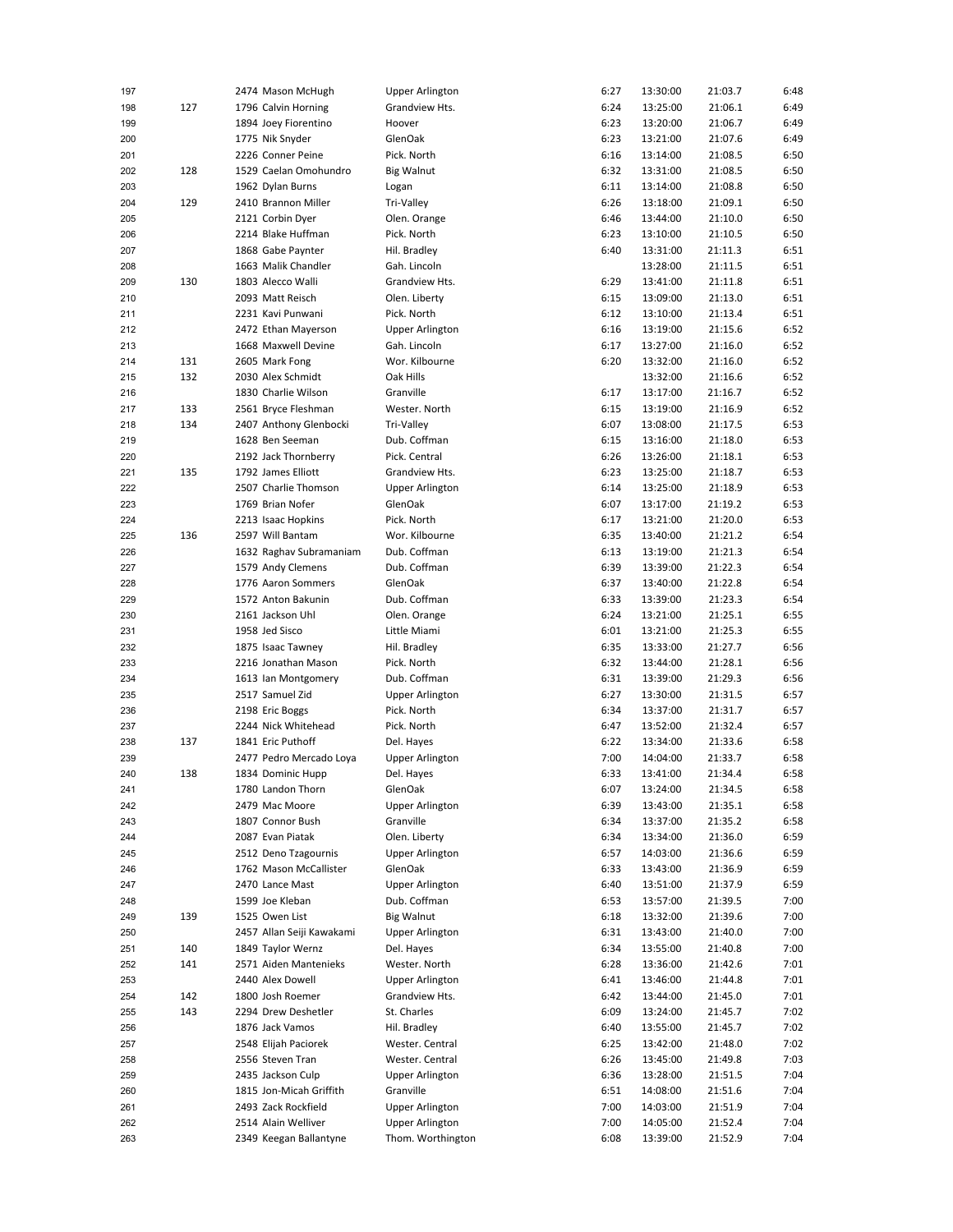| 197 |     | 2474 Mason McHugh         | Upper Arlington        | 6:27 | 13:30:00 | 21:03.7 | 6:48 |
|-----|-----|---------------------------|------------------------|------|----------|---------|------|
| 198 | 127 | 1796 Calvin Horning       | Grandview Hts.         | 6:24 | 13:25:00 | 21:06.1 | 6:49 |
| 199 |     | 1894 Joey Fiorentino      | Hoover                 | 6:23 | 13:20:00 | 21:06.7 | 6:49 |
|     |     |                           |                        |      |          |         |      |
| 200 |     | 1775 Nik Snyder           | GlenOak                | 6:23 | 13:21:00 | 21:07.6 | 6:49 |
| 201 |     | 2226 Conner Peine         | Pick. North            | 6:16 | 13:14:00 | 21:08.5 | 6:50 |
| 202 | 128 | 1529 Caelan Omohundro     | Big Walnut             | 6:32 | 13:31:00 | 21:08.5 | 6:50 |
| 203 |     | 1962 Dylan Burns          | Logan                  | 6:11 | 13:14:00 | 21:08.8 | 6:50 |
| 204 | 129 | 2410 Brannon Miller       | Tri-Valley             | 6:26 | 13:18:00 | 21:09.1 | 6:50 |
|     |     |                           |                        |      |          |         |      |
| 205 |     | 2121 Corbin Dyer          | Olen. Orange           | 6:46 | 13:44:00 | 21:10.0 | 6:50 |
| 206 |     | 2214 Blake Huffman        | Pick. North            | 6:23 | 13:10:00 | 21:10.5 | 6:50 |
| 207 |     | 1868 Gabe Paynter         | Hil. Bradley           | 6:40 | 13:31:00 | 21:11.3 | 6:51 |
| 208 |     | 1663 Malik Chandler       | Gah. Lincoln           |      | 13:28:00 | 21:11.5 | 6:51 |
|     |     |                           |                        |      |          |         |      |
| 209 | 130 | 1803 Alecco Walli         | Grandview Hts.         | 6:29 | 13:41:00 | 21:11.8 | 6:51 |
| 210 |     | 2093 Matt Reisch          | Olen. Liberty          | 6:15 | 13:09:00 | 21:13.0 | 6:51 |
| 211 |     | 2231 Kavi Punwani         | Pick. North            | 6:12 | 13:10:00 | 21:13.4 | 6:51 |
| 212 |     | 2472 Ethan Mayerson       | Upper Arlington        | 6:16 | 13:19:00 | 21:15.6 | 6:52 |
| 213 |     | 1668 Maxwell Devine       | Gah. Lincoln           | 6:17 | 13:27:00 | 21:16.0 | 6:52 |
|     |     |                           |                        |      |          |         |      |
| 214 | 131 | 2605 Mark Fong            | Wor. Kilbourne         | 6:20 | 13:32:00 | 21:16.0 | 6:52 |
| 215 | 132 | 2030 Alex Schmidt         | Oak Hills              |      | 13:32:00 | 21:16.6 | 6:52 |
| 216 |     | 1830 Charlie Wilson       | Granville              | 6:17 | 13:17:00 | 21:16.7 | 6:52 |
| 217 | 133 | 2561 Bryce Fleshman       | Wester. North          | 6:15 | 13:19:00 | 21:16.9 | 6:52 |
| 218 | 134 | 2407 Anthony Glenbocki    | Tri-Valley             | 6:07 | 13:08:00 | 21:17.5 | 6:53 |
|     |     |                           |                        |      |          |         |      |
| 219 |     | 1628 Ben Seeman           | Dub. Coffman           | 6:15 | 13:16:00 | 21:18.0 | 6:53 |
| 220 |     | 2192 Jack Thornberry      | Pick. Central          | 6:26 | 13:26:00 | 21:18.1 | 6:53 |
| 221 | 135 | 1792 James Elliott        | Grandview Hts.         | 6:23 | 13:25:00 | 21:18.7 | 6:53 |
| 222 |     | 2507 Charlie Thomson      | <b>Upper Arlington</b> | 6:14 | 13:25:00 | 21:18.9 | 6:53 |
|     |     |                           |                        |      |          |         |      |
| 223 |     | 1769 Brian Nofer          | GlenOak                | 6:07 | 13:17:00 | 21:19.2 | 6:53 |
| 224 |     | 2213 Isaac Hopkins        | Pick. North            | 6:17 | 13:21:00 | 21:20.0 | 6:53 |
| 225 | 136 | 2597 Will Bantam          | Wor. Kilbourne         | 6:35 | 13:40:00 | 21:21.2 | 6:54 |
| 226 |     | 1632 Raghav Subramaniam   | Dub. Coffman           | 6:13 | 13:19:00 | 21:21.3 | 6:54 |
| 227 |     | 1579 Andy Clemens         | Dub. Coffman           | 6:39 | 13:39:00 | 21:22.3 | 6:54 |
|     |     |                           |                        |      |          |         |      |
| 228 |     | 1776 Aaron Sommers        | <b>GlenOak</b>         | 6:37 | 13:40:00 | 21:22.8 | 6:54 |
| 229 |     | 1572 Anton Bakunin        | Dub. Coffman           | 6:33 | 13:39:00 | 21:23.3 | 6:54 |
| 230 |     | 2161 Jackson Uhl          | Olen. Orange           | 6:24 | 13:21:00 | 21:25.1 | 6:55 |
| 231 |     | 1958 Jed Sisco            | Little Miami           | 6:01 | 13:21:00 | 21:25.3 | 6:55 |
|     |     |                           |                        |      |          |         |      |
| 232 |     | 1875 Isaac Tawney         | Hil. Bradley           | 6:35 | 13:33:00 | 21:27.7 | 6:56 |
| 233 |     | 2216 Jonathan Mason       | Pick. North            | 6:32 | 13:44:00 | 21:28.1 | 6:56 |
| 234 |     | 1613 Ian Montgomery       | Dub. Coffman           | 6:31 | 13:39:00 | 21:29.3 | 6:56 |
| 235 |     | 2517 Samuel Zid           | Upper Arlington        | 6:27 | 13:30:00 | 21:31.5 | 6:57 |
| 236 |     | 2198 Eric Boggs           | Pick. North            | 6:34 | 13:37:00 | 21:31.7 | 6:57 |
|     |     |                           |                        |      |          |         |      |
| 237 |     | 2244 Nick Whitehead       | Pick. North            | 6:47 | 13:52:00 | 21:32.4 | 6:57 |
| 238 | 137 | 1841 Eric Puthoff         | Del. Hayes             | 6:22 | 13:34:00 | 21:33.6 | 6:58 |
| 239 |     | 2477 Pedro Mercado Loya   | <b>Upper Arlington</b> | 7:00 | 14:04:00 | 21:33.7 | 6:58 |
| 240 | 138 | 1834 Dominic Hupp         | Del. Hayes             | 6:33 | 13:41:00 | 21:34.4 | 6:58 |
|     |     |                           |                        |      |          |         |      |
| 241 |     | 1780 Landon Thorn         | GlenOak                | 6:07 | 13:24:00 | 21:34.5 | 6:58 |
| 242 |     | 2479 Mac Moore            | <b>Upper Arlington</b> | 6:39 | 13:43:00 | 21:35.1 | 6:58 |
| 243 |     | 1807 Connor Bush          | Granville              | 6:34 | 13:37:00 | 21:35.2 | 6:58 |
| 244 |     | 2087 Evan Piatak          | Olen. Liberty          | 6:34 | 13:34:00 | 21:36.0 | 6:59 |
| 245 |     | 2512 Deno Tzagournis      | <b>Upper Arlington</b> | 6:57 | 14:03:00 | 21:36.6 | 6:59 |
|     |     |                           |                        |      |          |         |      |
| 246 |     | 1762 Mason McCallister    | GlenOak                | 6:33 | 13:43:00 | 21:36.9 | 6:59 |
| 247 |     | 2470 Lance Mast           | <b>Upper Arlington</b> | 6:40 | 13:51:00 | 21:37.9 | 6:59 |
| 248 |     | 1599 Joe Kleban           | Dub. Coffman           | 6:53 | 13:57:00 | 21:39.5 | 7:00 |
| 249 | 139 | 1525 Owen List            | Big Walnut             | 6:18 | 13:32:00 | 21:39.6 | 7:00 |
| 250 |     | 2457 Allan Seiji Kawakami | <b>Upper Arlington</b> | 6:31 | 13:43:00 | 21:40.0 | 7:00 |
|     |     |                           |                        |      |          |         |      |
| 251 | 140 | 1849 Taylor Wernz         | Del. Hayes             | 6:34 | 13:55:00 | 21:40.8 | 7:00 |
| 252 | 141 | 2571 Aiden Mantenieks     | Wester. North          | 6:28 | 13:36:00 | 21:42.6 | 7:01 |
| 253 |     | 2440 Alex Dowell          | <b>Upper Arlington</b> | 6:41 | 13:46:00 | 21:44.8 | 7:01 |
| 254 | 142 | 1800 Josh Roemer          | Grandview Hts.         | 6:42 | 13:44:00 | 21:45.0 | 7:01 |
|     |     | 2294 Drew Deshetler       | St. Charles            | 6:09 |          |         |      |
| 255 | 143 |                           |                        |      | 13:24:00 | 21:45.7 | 7:02 |
| 256 |     | 1876 Jack Vamos           | Hil. Bradley           | 6:40 | 13:55:00 | 21:45.7 | 7:02 |
| 257 |     | 2548 Elijah Paciorek      | Wester. Central        | 6:25 | 13:42:00 | 21:48.0 | 7:02 |
| 258 |     | 2556 Steven Tran          | Wester. Central        | 6:26 | 13:45:00 | 21:49.8 | 7:03 |
| 259 |     | 2435 Jackson Culp         | <b>Upper Arlington</b> | 6:36 | 13:28:00 | 21:51.5 | 7:04 |
|     |     |                           |                        |      |          |         |      |
| 260 |     | 1815 Jon-Micah Griffith   | Granville              | 6:51 | 14:08:00 | 21:51.6 | 7:04 |
| 261 |     | 2493 Zack Rockfield       | <b>Upper Arlington</b> | 7:00 | 14:03:00 | 21:51.9 | 7:04 |
| 262 |     | 2514 Alain Welliver       | <b>Upper Arlington</b> | 7:00 | 14:05:00 | 21:52.4 | 7:04 |
| 263 |     | 2349 Keegan Ballantyne    | Thom. Worthington      | 6:08 | 13:39:00 | 21:52.9 | 7:04 |
|     |     |                           |                        |      |          |         |      |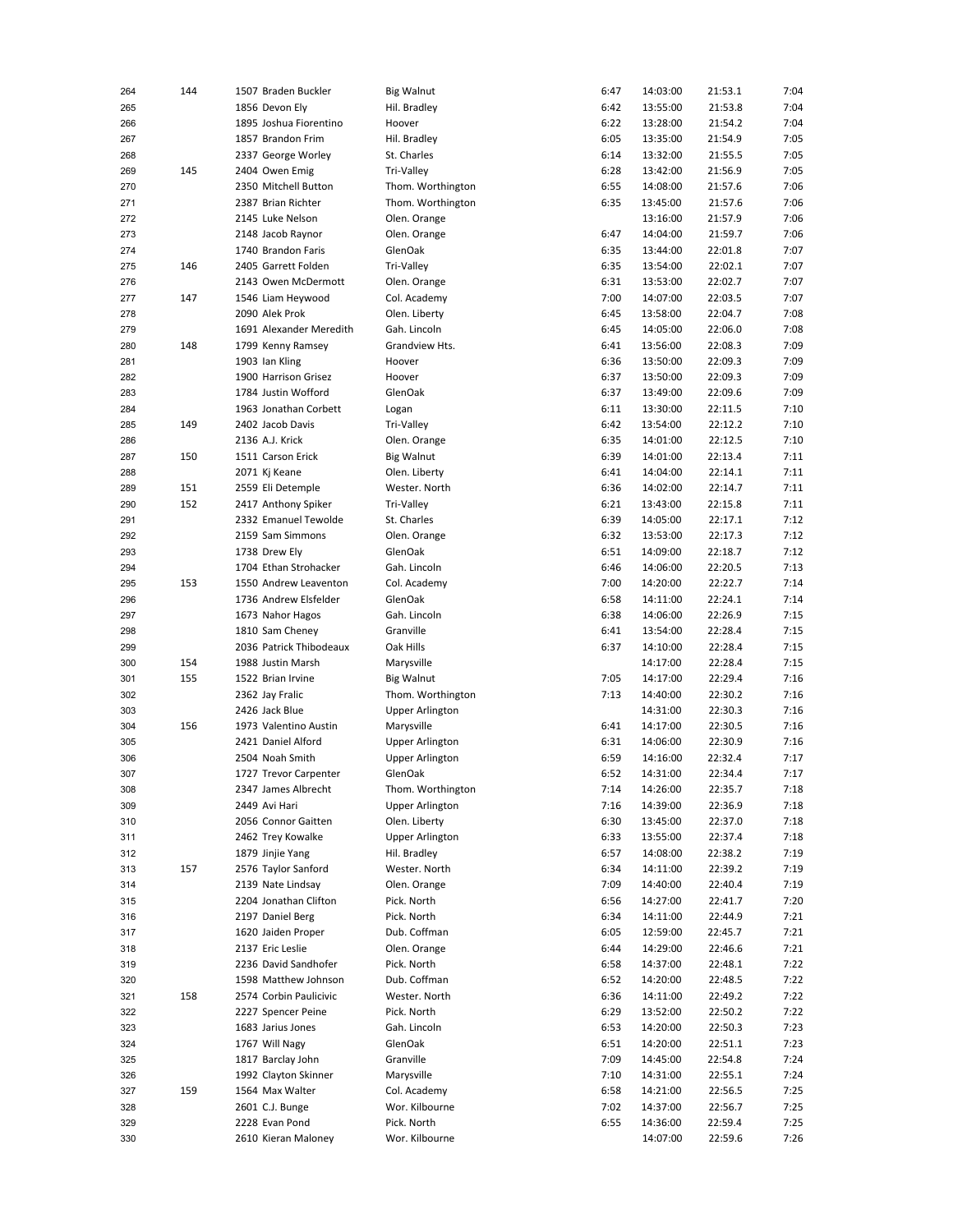| 264 | 144 | 1507 Braden Buckler     | <b>Big Walnut</b>      | 6:47 | 14:03:00 | 21:53.1 | 7:04 |
|-----|-----|-------------------------|------------------------|------|----------|---------|------|
| 265 |     | 1856 Devon Ely          | Hil. Bradley           | 6:42 | 13:55:00 | 21:53.8 | 7:04 |
| 266 |     | 1895 Joshua Fiorentino  | Hoover                 | 6:22 | 13:28:00 | 21:54.2 | 7:04 |
|     |     |                         |                        | 6:05 |          |         |      |
| 267 |     | 1857 Brandon Frim       | Hil. Bradley           |      | 13:35:00 | 21:54.9 | 7:05 |
| 268 |     | 2337 George Worley      | St. Charles            | 6:14 | 13:32:00 | 21:55.5 | 7:05 |
| 269 | 145 | 2404 Owen Emig          | Tri-Valley             | 6:28 | 13:42:00 | 21:56.9 | 7:05 |
| 270 |     | 2350 Mitchell Button    | Thom. Worthington      | 6:55 | 14:08:00 | 21:57.6 | 7:06 |
| 271 |     | 2387 Brian Richter      | Thom. Worthington      | 6:35 | 13:45:00 | 21:57.6 | 7:06 |
| 272 |     | 2145 Luke Nelson        | Olen. Orange           |      | 13:16:00 | 21:57.9 | 7:06 |
| 273 |     | 2148 Jacob Raynor       | Olen. Orange           | 6:47 | 14:04:00 | 21:59.7 | 7:06 |
| 274 |     | 1740 Brandon Faris      | GlenOak                | 6:35 | 13:44:00 | 22:01.8 | 7:07 |
|     |     |                         |                        |      |          |         |      |
| 275 | 146 | 2405 Garrett Folden     | Tri-Valley             | 6:35 | 13:54:00 | 22:02.1 | 7:07 |
| 276 |     | 2143 Owen McDermott     | Olen. Orange           | 6:31 | 13:53:00 | 22:02.7 | 7:07 |
| 277 | 147 | 1546 Liam Heywood       | Col. Academy           | 7:00 | 14:07:00 | 22:03.5 | 7:07 |
| 278 |     | 2090 Alek Prok          | Olen. Liberty          | 6:45 | 13:58:00 | 22:04.7 | 7:08 |
| 279 |     | 1691 Alexander Meredith | Gah. Lincoln           | 6:45 | 14:05:00 | 22:06.0 | 7:08 |
| 280 | 148 | 1799 Kenny Ramsey       | Grandview Hts.         | 6:41 | 13:56:00 | 22:08.3 | 7:09 |
| 281 |     | 1903 Ian Kling          | Hoover                 | 6:36 | 13:50:00 | 22:09.3 | 7:09 |
|     |     |                         |                        |      |          |         |      |
| 282 |     | 1900 Harrison Grisez    | Hoover                 | 6:37 | 13:50:00 | 22:09.3 | 7:09 |
| 283 |     | 1784 Justin Wofford     | GlenOak                | 6:37 | 13:49:00 | 22:09.6 | 7:09 |
| 284 |     | 1963 Jonathan Corbett   | Logan                  | 6:11 | 13:30:00 | 22:11.5 | 7:10 |
| 285 | 149 | 2402 Jacob Davis        | Tri-Valley             | 6:42 | 13:54:00 | 22:12.2 | 7:10 |
| 286 |     | 2136 A.J. Krick         | Olen. Orange           | 6:35 | 14:01:00 | 22:12.5 | 7:10 |
| 287 | 150 | 1511 Carson Erick       | <b>Big Walnut</b>      | 6:39 | 14:01:00 | 22:13.4 | 7:11 |
|     |     |                         |                        |      |          |         | 7:11 |
| 288 |     | 2071 Kj Keane           | Olen. Liberty          | 6:41 | 14:04:00 | 22:14.1 |      |
| 289 | 151 | 2559 Eli Detemple       | Wester. North          | 6:36 | 14:02:00 | 22:14.7 | 7:11 |
| 290 | 152 | 2417 Anthony Spiker     | Tri-Valley             | 6:21 | 13:43:00 | 22:15.8 | 7:11 |
| 291 |     | 2332 Emanuel Tewolde    | St. Charles            | 6:39 | 14:05:00 | 22:17.1 | 7:12 |
| 292 |     | 2159 Sam Simmons        | Olen. Orange           | 6:32 | 13:53:00 | 22:17.3 | 7:12 |
| 293 |     | 1738 Drew Ely           | GlenOak                | 6:51 | 14:09:00 | 22:18.7 | 7:12 |
| 294 |     | 1704 Ethan Strohacker   | Gah. Lincoln           | 6:46 | 14:06:00 | 22:20.5 | 7:13 |
| 295 | 153 | 1550 Andrew Leaventon   | Col. Academy           | 7:00 | 14:20:00 | 22:22.7 | 7:14 |
|     |     |                         |                        |      |          |         |      |
| 296 |     | 1736 Andrew Elsfelder   | GlenOak                | 6:58 | 14:11:00 | 22:24.1 | 7:14 |
| 297 |     | 1673 Nahor Hagos        | Gah. Lincoln           | 6:38 | 14:06:00 | 22:26.9 | 7:15 |
| 298 |     | 1810 Sam Cheney         | Granville              | 6:41 | 13:54:00 | 22:28.4 | 7:15 |
| 299 |     | 2036 Patrick Thibodeaux | Oak Hills              | 6:37 | 14:10:00 | 22:28.4 | 7:15 |
| 300 | 154 | 1988 Justin Marsh       | Marysville             |      | 14:17:00 | 22:28.4 | 7:15 |
| 301 | 155 | 1522 Brian Irvine       | <b>Big Walnut</b>      | 7:05 | 14:17:00 | 22:29.4 | 7:16 |
|     |     |                         |                        | 7:13 |          | 22:30.2 | 7:16 |
| 302 |     | 2362 Jay Fralic         | Thom. Worthington      |      | 14:40:00 |         |      |
| 303 |     | 2426 Jack Blue          | <b>Upper Arlington</b> |      | 14:31:00 | 22:30.3 | 7:16 |
| 304 | 156 | 1973 Valentino Austin   | Marysville             | 6:41 | 14:17:00 | 22:30.5 | 7:16 |
| 305 |     | 2421 Daniel Alford      | <b>Upper Arlington</b> | 6:31 | 14:06:00 | 22:30.9 | 7:16 |
| 306 |     | 2504 Noah Smith         | <b>Upper Arlington</b> | 6:59 | 14:16:00 | 22:32.4 | 7:17 |
| 307 |     | 1727 Trevor Carpenter   | GlenOak                | 6:52 | 14:31:00 | 22:34.4 | 7:17 |
| 308 |     | 2347 James Albrecht     | Thom. Worthington      | 7:14 | 14:26:00 | 22:35.7 | 7:18 |
| 309 |     | 2449 Avi Hari           | <b>Upper Arlington</b> | 7:16 | 14:39:00 | 22:36.9 | 7:18 |
|     |     |                         |                        |      |          |         |      |
| 310 |     | 2056 Connor Gaitten     | Olen. Liberty          | 6:30 | 13:45:00 | 22:37.0 | 7:18 |
| 311 |     | 2462 Trey Kowalke       | <b>Upper Arlington</b> | 6:33 | 13:55:00 | 22:37.4 | 7:18 |
| 312 |     | 1879 Jinjie Yang        | Hil. Bradley           | 6:57 | 14:08:00 | 22:38.2 | 7:19 |
| 313 | 157 | 2576 Taylor Sanford     | Wester. North          | 6:34 | 14:11:00 | 22:39.2 | 7:19 |
| 314 |     | 2139 Nate Lindsay       | Olen. Orange           | 7:09 | 14:40:00 | 22:40.4 | 7:19 |
| 315 |     | 2204 Jonathan Clifton   | Pick. North            | 6:56 | 14:27:00 | 22:41.7 | 7:20 |
| 316 |     | 2197 Daniel Berg        | Pick. North            | 6:34 | 14:11:00 | 22:44.9 | 7:21 |
|     |     |                         |                        |      |          |         |      |
| 317 |     | 1620 Jaiden Proper      | Dub. Coffman           | 6:05 | 12:59:00 | 22:45.7 | 7:21 |
| 318 |     | 2137 Eric Leslie        | Olen. Orange           | 6:44 | 14:29:00 | 22:46.6 | 7:21 |
| 319 |     | 2236 David Sandhofer    | Pick. North            | 6:58 | 14:37:00 | 22:48.1 | 7:22 |
| 320 |     | 1598 Matthew Johnson    | Dub. Coffman           | 6:52 | 14:20:00 | 22:48.5 | 7:22 |
| 321 | 158 | 2574 Corbin Paulicivic  | Wester. North          | 6:36 | 14:11:00 | 22:49.2 | 7:22 |
| 322 |     | 2227 Spencer Peine      | Pick. North            | 6:29 | 13:52:00 | 22:50.2 | 7:22 |
| 323 |     | 1683 Jarius Jones       | Gah. Lincoln           | 6:53 | 14:20:00 | 22:50.3 | 7:23 |
|     |     |                         |                        | 6:51 |          |         |      |
| 324 |     | 1767 Will Nagy          | GlenOak                |      | 14:20:00 | 22:51.1 | 7:23 |
| 325 |     | 1817 Barclay John       | Granville              | 7:09 | 14:45:00 | 22:54.8 | 7:24 |
| 326 |     | 1992 Clayton Skinner    | Marysville             | 7:10 | 14:31:00 | 22:55.1 | 7:24 |
| 327 | 159 | 1564 Max Walter         | Col. Academy           | 6:58 | 14:21:00 | 22:56.5 | 7:25 |
| 328 |     | 2601 C.J. Bunge         | Wor. Kilbourne         | 7:02 | 14:37:00 | 22:56.7 | 7:25 |
| 329 |     | 2228 Evan Pond          | Pick. North            | 6:55 | 14:36:00 | 22:59.4 | 7:25 |
| 330 |     | 2610 Kieran Maloney     | Wor. Kilbourne         |      | 14:07:00 | 22:59.6 | 7:26 |
|     |     |                         |                        |      |          |         |      |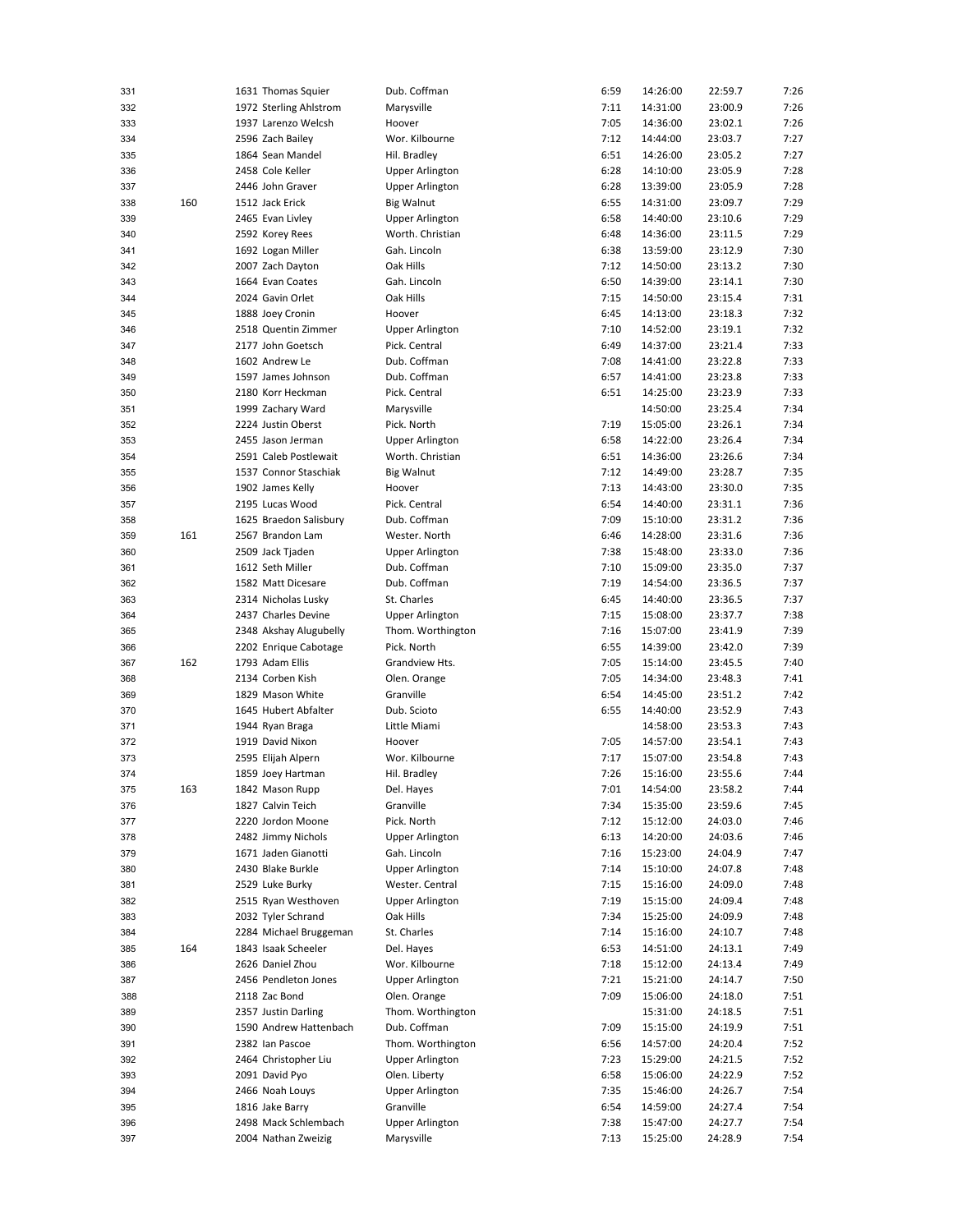| 331 |     | 1631 Thomas Squier     | Dub. Coffman           | 6:59 | 14:26:00 | 22:59.7 | 7:26 |
|-----|-----|------------------------|------------------------|------|----------|---------|------|
| 332 |     | 1972 Sterling Ahlstrom | Marysville             | 7:11 | 14:31:00 | 23:00.9 | 7:26 |
| 333 |     | 1937 Larenzo Welcsh    | Hoover                 | 7:05 | 14:36:00 | 23:02.1 | 7:26 |
| 334 |     | 2596 Zach Bailey       | Wor. Kilbourne         | 7:12 | 14:44:00 | 23:03.7 | 7:27 |
| 335 |     | 1864 Sean Mandel       | Hil. Bradley           | 6:51 | 14:26:00 | 23:05.2 | 7:27 |
|     |     |                        |                        |      |          |         |      |
| 336 |     | 2458 Cole Keller       | <b>Upper Arlington</b> | 6:28 | 14:10:00 | 23:05.9 | 7:28 |
| 337 |     | 2446 John Graver       | <b>Upper Arlington</b> | 6:28 | 13:39:00 | 23:05.9 | 7:28 |
| 338 | 160 | 1512 Jack Erick        | <b>Big Walnut</b>      | 6:55 | 14:31:00 | 23:09.7 | 7:29 |
| 339 |     | 2465 Evan Livley       | <b>Upper Arlington</b> | 6:58 | 14:40:00 | 23:10.6 | 7:29 |
| 340 |     | 2592 Korey Rees        | Worth. Christian       | 6:48 | 14:36:00 | 23:11.5 | 7:29 |
| 341 |     | 1692 Logan Miller      | Gah. Lincoln           | 6:38 | 13:59:00 | 23:12.9 | 7:30 |
| 342 |     | 2007 Zach Dayton       | Oak Hills              | 7:12 | 14:50:00 | 23:13.2 | 7:30 |
|     |     |                        |                        | 6:50 |          | 23:14.1 |      |
| 343 |     | 1664 Evan Coates       | Gah. Lincoln           |      | 14:39:00 |         | 7:30 |
| 344 |     | 2024 Gavin Orlet       | Oak Hills              | 7:15 | 14:50:00 | 23:15.4 | 7:31 |
| 345 |     | 1888 Joey Cronin       | Hoover                 | 6:45 | 14:13:00 | 23:18.3 | 7:32 |
| 346 |     | 2518 Quentin Zimmer    | <b>Upper Arlington</b> | 7:10 | 14:52:00 | 23:19.1 | 7:32 |
| 347 |     | 2177 John Goetsch      | Pick. Central          | 6:49 | 14:37:00 | 23:21.4 | 7:33 |
| 348 |     | 1602 Andrew Le         | Dub. Coffman           | 7:08 | 14:41:00 | 23:22.8 | 7:33 |
| 349 |     | 1597 James Johnson     | Dub. Coffman           | 6:57 | 14:41:00 | 23:23.8 | 7:33 |
| 350 |     | 2180 Korr Heckman      | Pick. Central          | 6:51 | 14:25:00 | 23:23.9 | 7:33 |
|     |     | 1999 Zachary Ward      |                        |      | 14:50:00 | 23:25.4 | 7:34 |
| 351 |     |                        | Marysville             |      |          |         |      |
| 352 |     | 2224 Justin Oberst     | Pick. North            | 7:19 | 15:05:00 | 23:26.1 | 7:34 |
| 353 |     | 2455 Jason Jerman      | <b>Upper Arlington</b> | 6:58 | 14:22:00 | 23:26.4 | 7:34 |
| 354 |     | 2591 Caleb Postlewait  | Worth. Christian       | 6:51 | 14:36:00 | 23:26.6 | 7:34 |
| 355 |     | 1537 Connor Staschiak  | <b>Big Walnut</b>      | 7:12 | 14:49:00 | 23:28.7 | 7:35 |
| 356 |     | 1902 James Kelly       | Hoover                 | 7:13 | 14:43:00 | 23:30.0 | 7:35 |
| 357 |     | 2195 Lucas Wood        | Pick. Central          | 6:54 | 14:40:00 | 23:31.1 | 7:36 |
| 358 |     | 1625 Braedon Salisbury | Dub. Coffman           | 7:09 | 15:10:00 | 23:31.2 | 7:36 |
|     |     |                        | Wester. North          |      |          |         |      |
| 359 | 161 | 2567 Brandon Lam       |                        | 6:46 | 14:28:00 | 23:31.6 | 7:36 |
| 360 |     | 2509 Jack Tjaden       | <b>Upper Arlington</b> | 7:38 | 15:48:00 | 23:33.0 | 7:36 |
| 361 |     | 1612 Seth Miller       | Dub. Coffman           | 7:10 | 15:09:00 | 23:35.0 | 7:37 |
| 362 |     | 1582 Matt Dicesare     | Dub. Coffman           | 7:19 | 14:54:00 | 23:36.5 | 7:37 |
| 363 |     | 2314 Nicholas Lusky    | St. Charles            | 6:45 | 14:40:00 | 23:36.5 | 7:37 |
| 364 |     | 2437 Charles Devine    | <b>Upper Arlington</b> | 7:15 | 15:08:00 | 23:37.7 | 7:38 |
| 365 |     | 2348 Akshay Alugubelly | Thom. Worthington      | 7:16 | 15:07:00 | 23:41.9 | 7:39 |
| 366 |     | 2202 Enrique Cabotage  | Pick. North            | 6:55 | 14:39:00 | 23:42.0 | 7:39 |
|     |     |                        |                        |      |          |         |      |
| 367 | 162 | 1793 Adam Ellis        | Grandview Hts.         | 7:05 | 15:14:00 | 23:45.5 | 7:40 |
| 368 |     | 2134 Corben Kish       | Olen. Orange           | 7:05 | 14:34:00 | 23:48.3 | 7:41 |
| 369 |     | 1829 Mason White       | Granville              | 6:54 | 14:45:00 | 23:51.2 | 7:42 |
| 370 |     | 1645 Hubert Abfalter   | Dub. Scioto            | 6:55 | 14:40:00 | 23:52.9 | 7:43 |
| 371 |     | 1944 Ryan Braga        | Little Miami           |      | 14:58:00 | 23:53.3 | 7:43 |
| 372 |     | 1919 David Nixon       | Hoover                 | 7:05 | 14:57:00 | 23:54.1 | 7:43 |
| 373 |     | 2595 Elijah Alpern     | Wor. Kilbourne         | 7:17 | 15:07:00 | 23:54.8 | 7:43 |
| 374 |     | 1859 Joey Hartman      | Hil. Bradley           | 7:26 | 15:16:00 | 23:55.6 | 7:44 |
| 375 | 163 |                        |                        |      | 14:54:00 |         | 7:44 |
|     |     | 1842 Mason Rupp        | Del. Hayes             | 7:01 |          | 23:58.2 |      |
| 376 |     | 1827 Calvin Teich      | Granville              | 7:34 | 15:35:00 | 23:59.6 | 7:45 |
| 377 |     | 2220 Jordon Moone      | Pick. North            | 7:12 | 15:12:00 | 24:03.0 | 7:46 |
| 378 |     | 2482 Jimmy Nichols     | <b>Upper Arlington</b> | 6:13 | 14:20:00 | 24:03.6 | 7:46 |
| 379 |     | 1671 Jaden Gianotti    | Gah. Lincoln           | 7:16 | 15:23:00 | 24:04.9 | 7:47 |
| 380 |     | 2430 Blake Burkle      | <b>Upper Arlington</b> | 7:14 | 15:10:00 | 24:07.8 | 7:48 |
| 381 |     | 2529 Luke Burky        | Wester. Central        | 7:15 | 15:16:00 | 24:09.0 | 7:48 |
| 382 |     | 2515 Ryan Westhoven    | <b>Upper Arlington</b> | 7:19 | 15:15:00 | 24:09.4 | 7:48 |
| 383 |     | 2032 Tyler Schrand     | Oak Hills              | 7:34 | 15:25:00 | 24:09.9 | 7:48 |
|     |     |                        |                        |      |          |         |      |
| 384 |     | 2284 Michael Bruggeman | St. Charles            | 7:14 | 15:16:00 | 24:10.7 | 7:48 |
| 385 | 164 | 1843 Isaak Scheeler    | Del. Hayes             | 6:53 | 14:51:00 | 24:13.1 | 7:49 |
| 386 |     | 2626 Daniel Zhou       | Wor. Kilbourne         | 7:18 | 15:12:00 | 24:13.4 | 7:49 |
| 387 |     | 2456 Pendleton Jones   | <b>Upper Arlington</b> | 7:21 | 15:21:00 | 24:14.7 | 7:50 |
| 388 |     | 2118 Zac Bond          | Olen. Orange           | 7:09 | 15:06:00 | 24:18.0 | 7:51 |
| 389 |     | 2357 Justin Darling    | Thom. Worthington      |      | 15:31:00 | 24:18.5 | 7:51 |
| 390 |     | 1590 Andrew Hattenbach | Dub. Coffman           | 7:09 | 15:15:00 | 24:19.9 | 7:51 |
| 391 |     | 2382 Ian Pascoe        | Thom. Worthington      | 6:56 | 14:57:00 | 24:20.4 | 7:52 |
|     |     |                        |                        |      |          |         |      |
| 392 |     | 2464 Christopher Liu   | <b>Upper Arlington</b> | 7:23 | 15:29:00 | 24:21.5 | 7:52 |
| 393 |     | 2091 David Pyo         | Olen. Liberty          | 6:58 | 15:06:00 | 24:22.9 | 7:52 |
| 394 |     | 2466 Noah Louys        | <b>Upper Arlington</b> | 7:35 | 15:46:00 | 24:26.7 | 7:54 |
| 395 |     | 1816 Jake Barry        | Granville              | 6:54 | 14:59:00 | 24:27.4 | 7:54 |
| 396 |     | 2498 Mack Schlembach   | <b>Upper Arlington</b> | 7:38 | 15:47:00 | 24:27.7 | 7:54 |
| 397 |     | 2004 Nathan Zweizig    | Marysville             | 7:13 | 15:25:00 | 24:28.9 | 7:54 |
|     |     |                        |                        |      |          |         |      |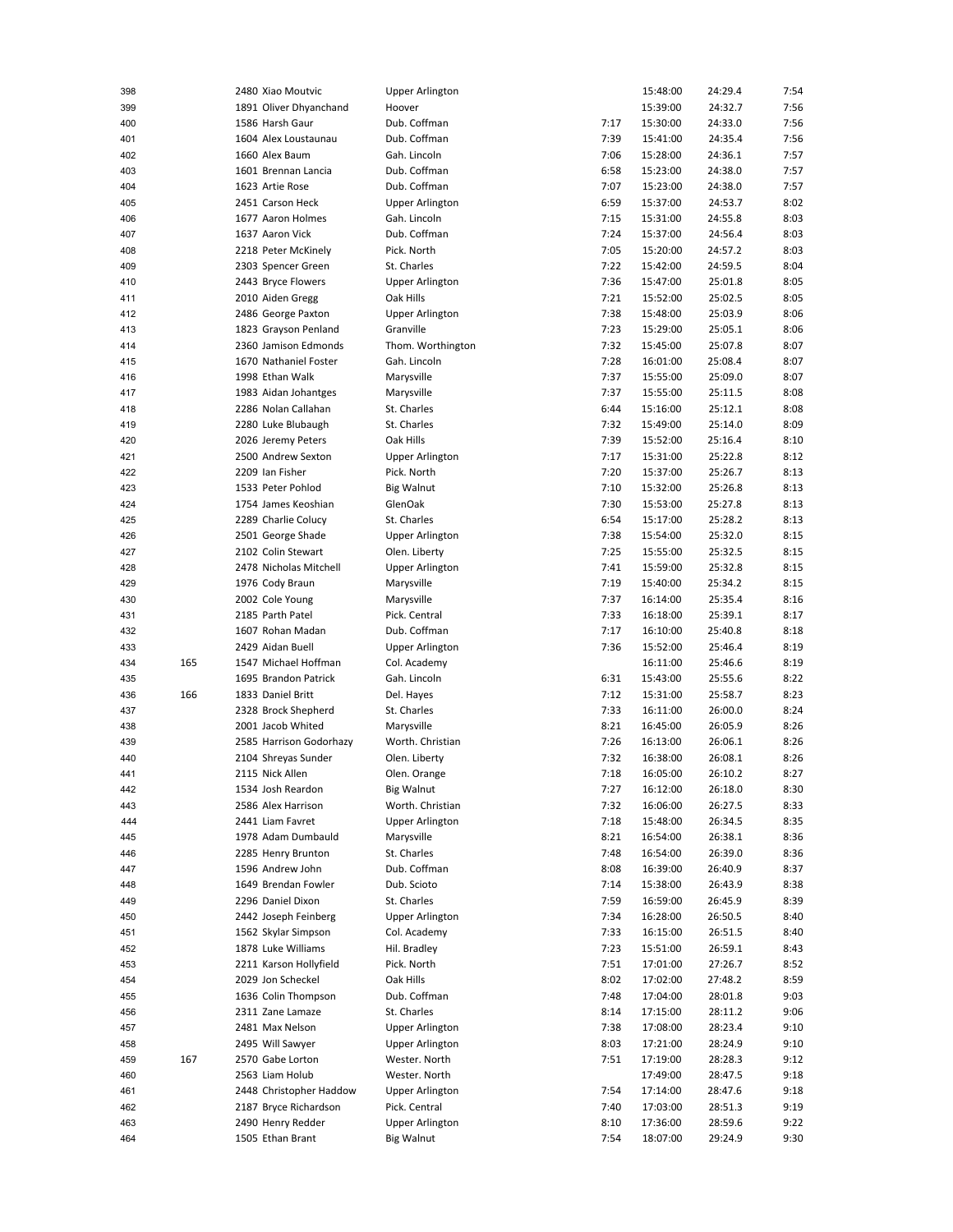| 398        |     | 2480 Xiao Moutvic                     | Upper Arlington                             |              | 15:48:00             | 24:29.4            | 7:54         |
|------------|-----|---------------------------------------|---------------------------------------------|--------------|----------------------|--------------------|--------------|
| 399        |     | 1891 Oliver Dhyanchand                | Hoover                                      |              | 15:39:00             | 24:32.7            | 7:56         |
| 400        |     | 1586 Harsh Gaur                       | Dub. Coffman                                | 7:17         | 15:30:00             | 24:33.0            | 7:56         |
| 401        |     | 1604 Alex Loustaunau                  | Dub. Coffman                                | 7:39         | 15:41:00             | 24:35.4            | 7:56         |
| 402        |     | 1660 Alex Baum                        | Gah. Lincoln                                | 7:06         | 15:28:00             | 24:36.1            | 7:57         |
| 403        |     | 1601 Brennan Lancia                   | Dub. Coffman                                | 6:58         | 15:23:00             | 24:38.0            | 7:57         |
| 404        |     | 1623 Artie Rose                       | Dub. Coffman                                | 7:07         | 15:23:00             | 24:38.0            | 7:57         |
| 405        |     | 2451 Carson Heck                      | <b>Upper Arlington</b>                      | 6:59         | 15:37:00             | 24:53.7            | 8:02         |
|            |     | 1677 Aaron Holmes                     | Gah. Lincoln                                | 7:15         | 15:31:00             | 24:55.8            | 8:03         |
| 406        |     |                                       |                                             |              |                      |                    |              |
| 407        |     | 1637 Aaron Vick                       | Dub. Coffman                                | 7:24         | 15:37:00             | 24:56.4            | 8:03         |
| 408        |     | 2218 Peter McKinely                   | Pick. North                                 | 7:05         | 15:20:00             | 24:57.2            | 8:03         |
| 409        |     | 2303 Spencer Green                    | St. Charles                                 | 7:22         | 15:42:00             | 24:59.5            | 8:04         |
| 410        |     | 2443 Bryce Flowers                    | <b>Upper Arlington</b>                      | 7:36         | 15:47:00             | 25:01.8            | 8:05         |
| 411        |     | 2010 Aiden Gregg                      | Oak Hills                                   | 7:21         | 15:52:00             | 25:02.5            | 8:05         |
| 412        |     | 2486 George Paxton                    | <b>Upper Arlington</b>                      | 7:38         | 15:48:00             | 25:03.9            | 8:06         |
| 413        |     | 1823 Grayson Penland                  | Granville                                   | 7:23         | 15:29:00             | 25:05.1            | 8:06         |
| 414        |     | 2360 Jamison Edmonds                  | Thom. Worthington                           | 7:32         | 15:45:00             | 25:07.8            | 8:07         |
| 415        |     | 1670 Nathaniel Foster                 | Gah. Lincoln                                | 7:28         | 16:01:00             | 25:08.4            | 8:07         |
| 416        |     | 1998 Ethan Walk                       | Marysville                                  | 7:37         | 15:55:00             | 25:09.0            | 8:07         |
| 417        |     | 1983 Aidan Johantges                  | Marysville                                  | 7:37         | 15:55:00             | 25:11.5            | 8:08         |
| 418        |     | 2286 Nolan Callahan                   | St. Charles                                 | 6:44         | 15:16:00             | 25:12.1            | 8:08         |
| 419        |     | 2280 Luke Blubaugh                    | St. Charles                                 | 7:32         | 15:49:00             | 25:14.0            | 8:09         |
| 420        |     | 2026 Jeremy Peters                    | Oak Hills                                   | 7:39         | 15:52:00             | 25:16.4            | 8:10         |
| 421        |     | 2500 Andrew Sexton                    | <b>Upper Arlington</b>                      | 7:17         | 15:31:00             | 25:22.8            | 8:12         |
| 422        |     | 2209 Ian Fisher                       | Pick. North                                 | 7:20         | 15:37:00             | 25:26.7            | 8:13         |
|            |     | 1533 Peter Pohlod                     |                                             |              |                      |                    |              |
| 423        |     |                                       | <b>Big Walnut</b>                           | 7:10         | 15:32:00             | 25:26.8            | 8:13         |
| 424        |     | 1754 James Keoshian                   | GlenOak                                     | 7:30         | 15:53:00             | 25:27.8            | 8:13         |
| 425        |     | 2289 Charlie Colucy                   | St. Charles                                 | 6:54         | 15:17:00             | 25:28.2            | 8:13         |
| 426        |     | 2501 George Shade                     | <b>Upper Arlington</b>                      | 7:38         | 15:54:00             | 25:32.0            | 8:15         |
| 427        |     | 2102 Colin Stewart                    | Olen. Liberty                               | 7:25         | 15:55:00             | 25:32.5            | 8:15         |
| 428        |     | 2478 Nicholas Mitchell                | <b>Upper Arlington</b>                      | 7:41         | 15:59:00             | 25:32.8            | 8:15         |
| 429        |     | 1976 Cody Braun                       | Marysville                                  | 7:19         | 15:40:00             | 25:34.2            | 8:15         |
| 430        |     | 2002 Cole Young                       | Marysville                                  | 7:37         | 16:14:00             | 25:35.4            | 8:16         |
| 431        |     | 2185 Parth Patel                      | Pick. Central                               | 7:33         | 16:18:00             | 25:39.1            | 8:17         |
| 432        |     |                                       |                                             |              |                      |                    |              |
|            |     | 1607 Rohan Madan                      | Dub. Coffman                                | 7:17         | 16:10:00             | 25:40.8            | 8:18         |
| 433        |     | 2429 Aidan Buell                      | <b>Upper Arlington</b>                      | 7:36         | 15:52:00             | 25:46.4            | 8:19         |
|            |     | 1547 Michael Hoffman                  |                                             |              |                      |                    |              |
| 434        | 165 |                                       | Col. Academy                                |              | 16:11:00             | 25:46.6            | 8:19         |
| 435        |     | 1695 Brandon Patrick                  | Gah. Lincoln                                | 6:31         | 15:43:00             | 25:55.6            | 8:22         |
| 436        | 166 | 1833 Daniel Britt                     | Del. Hayes                                  | 7:12         | 15:31:00             | 25:58.7            | 8:23         |
| 437        |     | 2328 Brock Shepherd                   | St. Charles                                 | 7:33         | 16:11:00             | 26:00.0            | 8:24         |
| 438        |     | 2001 Jacob Whited                     | Marysville                                  | 8:21         | 16:45:00             | 26:05.9            | 8:26         |
| 439        |     | 2585 Harrison Godorhazy               | Worth. Christian                            | 7:26         | 16:13:00             | 26:06.1            | 8:26         |
| 440        |     | 2104 Shreyas Sunder                   | Olen. Liberty                               | 7:32         | 16:38:00             | 26:08.1            | 8:26         |
| 441        |     | 2115 Nick Allen                       | Olen. Orange                                | 7:18         | 16:05:00             | 26:10.2            | 8:27         |
| 442        |     | 1534 Josh Reardon                     | Big Walnut                                  | 7:27         | 16:12:00             | 26:18.0            | 8:30         |
| 443        |     | 2586 Alex Harrison                    | Worth. Christian                            | 7:32         | 16:06:00             | 26:27.5            | 8:33         |
| 444        |     | 2441 Liam Favret                      | <b>Upper Arlington</b>                      | 7:18         | 15:48:00             | 26:34.5            | 8:35         |
| 445        |     | 1978 Adam Dumbauld                    | Marysville                                  | 8:21         | 16:54:00             | 26:38.1            | 8:36         |
| 446        |     | 2285 Henry Brunton                    | St. Charles                                 | 7:48         | 16:54:00             | 26:39.0            | 8:36         |
| 447        |     | 1596 Andrew John                      | Dub. Coffman                                | 8:08         | 16:39:00             | 26:40.9            | 8:37         |
| 448        |     | 1649 Brendan Fowler                   | Dub. Scioto                                 | 7:14         | 15:38:00             | 26:43.9            | 8:38         |
| 449        |     | 2296 Daniel Dixon                     | St. Charles                                 | 7:59         | 16:59:00             | 26:45.9            | 8:39         |
| 450        |     | 2442 Joseph Feinberg                  | <b>Upper Arlington</b>                      | 7:34         | 16:28:00             | 26:50.5            | 8:40         |
|            |     | 1562 Skylar Simpson                   | Col. Academy                                | 7:33         |                      |                    | 8:40         |
| 451        |     |                                       |                                             |              | 16:15:00             | 26:51.5            |              |
| 452        |     | 1878 Luke Williams                    | Hil. Bradley                                | 7:23         | 15:51:00             | 26:59.1            | 8:43         |
| 453        |     | 2211 Karson Hollyfield                | Pick. North                                 | 7:51         | 17:01:00             | 27:26.7            | 8:52         |
| 454        |     | 2029 Jon Scheckel                     | Oak Hills                                   | 8:02         | 17:02:00             | 27:48.2            | 8:59         |
| 455        |     | 1636 Colin Thompson                   | Dub. Coffman                                | 7:48         | 17:04:00             | 28:01.8            | 9:03         |
| 456        |     | 2311 Zane Lamaze                      | St. Charles                                 | 8:14         | 17:15:00             | 28:11.2            | 9:06         |
| 457        |     | 2481 Max Nelson                       | <b>Upper Arlington</b>                      | 7:38         | 17:08:00             | 28:23.4            | 9:10         |
| 458        |     | 2495 Will Sawyer                      | <b>Upper Arlington</b>                      | 8:03         | 17:21:00             | 28:24.9            | 9:10         |
| 459        | 167 | 2570 Gabe Lorton                      | Wester. North                               | 7:51         | 17:19:00             | 28:28.3            | 9:12         |
| 460        |     | 2563 Liam Holub                       | Wester. North                               |              | 17:49:00             | 28:47.5            | 9:18         |
| 461        |     | 2448 Christopher Haddow               | <b>Upper Arlington</b>                      | 7:54         | 17:14:00             | 28:47.6            | 9:18         |
| 462        |     | 2187 Bryce Richardson                 | Pick. Central                               | 7:40         | 17:03:00             | 28:51.3            | 9:19         |
| 463<br>464 |     | 2490 Henry Redder<br>1505 Ethan Brant | <b>Upper Arlington</b><br><b>Big Walnut</b> | 8:10<br>7:54 | 17:36:00<br>18:07:00 | 28:59.6<br>29:24.9 | 9:22<br>9:30 |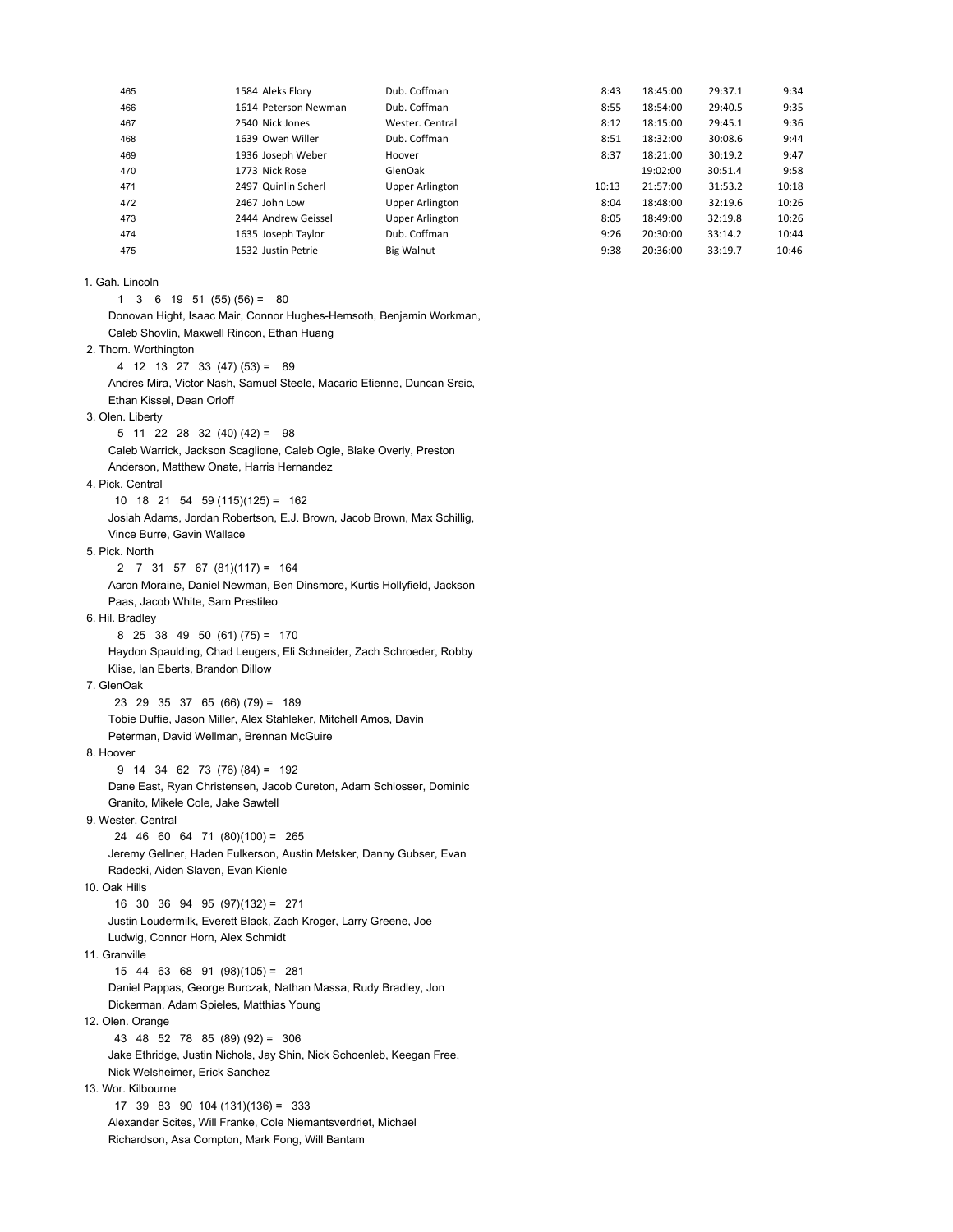| 465 | 1584 Aleks Flory     | Dub. Coffman           | 8:43  | 18:45:00 | 29:37.1 | 9:34  |
|-----|----------------------|------------------------|-------|----------|---------|-------|
| 466 | 1614 Peterson Newman | Dub. Coffman           | 8:55  | 18:54:00 | 29:40.5 | 9:35  |
| 467 | 2540 Nick Jones      | Wester, Central        | 8:12  | 18:15:00 | 29:45.1 | 9:36  |
| 468 | 1639 Owen Willer     | Dub. Coffman           | 8:51  | 18:32:00 | 30:08.6 | 9:44  |
| 469 | 1936 Joseph Weber    | Hoover                 | 8:37  | 18:21:00 | 30:19.2 | 9:47  |
| 470 | 1773 Nick Rose       | GlenOak                |       | 19:02:00 | 30:51.4 | 9:58  |
| 471 | 2497 Quinlin Scherl  | <b>Upper Arlington</b> | 10:13 | 21:57:00 | 31:53.2 | 10:18 |
| 472 | 2467 John Low        | <b>Upper Arlington</b> | 8:04  | 18:48:00 | 32:19.6 | 10:26 |
| 473 | 2444 Andrew Geissel  | <b>Upper Arlington</b> | 8:05  | 18:49:00 | 32:19.8 | 10:26 |
| 474 | 1635 Joseph Taylor   | Dub. Coffman           | 9:26  | 20:30:00 | 33:14.2 | 10:44 |
| 475 | 1532 Justin Petrie   | Big Walnut             | 9:38  | 20:36:00 | 33:19.7 | 10:46 |

## 1. Gah. Lincoln

1 3 6 19 51 (55) (56) = 80 Donovan Hight, Isaac Mair, Connor Hughes-Hemsoth, Benjamin Workman, Caleb Shovlin, Maxwell Rincon, Ethan Huang 2. Thom. Worthington 4 12 13 27 33 (47) (53) = 89 Andres Mira, Victor Nash, Samuel Steele, Macario Etienne, Duncan Srsic, Ethan Kissel, Dean Orloff 3. Olen. Liberty 5 11 22 28 32 (40) (42) = 98 Caleb Warrick, Jackson Scaglione, Caleb Ogle, Blake Overly, Preston Anderson, Matthew Onate, Harris Hernandez 4. Pick. Central 10 18 21 54 59 (115)(125) = 162 Josiah Adams, Jordan Robertson, E.J. Brown, Jacob Brown, Max Schillig, Vince Burre, Gavin Wallace 5. Pick. North 2 7 31 57 67 (81)(117) = 164 Aaron Moraine, Daniel Newman, Ben Dinsmore, Kurtis Hollyfield, Jackson Paas, Jacob White, Sam Prestileo 6. Hil. Bradley 8 25 38 49 50 (61) (75) = 170 Haydon Spaulding, Chad Leugers, Eli Schneider, Zach Schroeder, Robby Klise, Ian Eberts, Brandon Dillow 7. GlenOak 23 29 35 37 65 (66) (79) = 189 Tobie Duffie, Jason Miller, Alex Stahleker, Mitchell Amos, Davin Peterman, David Wellman, Brennan McGuire 8. Hoover 9 14 34 62 73 (76) (84) = 192 Dane East, Ryan Christensen, Jacob Cureton, Adam Schlosser, Dominic Granito, Mikele Cole, Jake Sawtell 9. Wester. Central 24 46 60 64 71 (80)(100) = 265 Jeremy Gellner, Haden Fulkerson, Austin Metsker, Danny Gubser, Evan Radecki, Aiden Slaven, Evan Kienle 10. Oak Hills 16 30 36 94 95 (97)(132) = 271 Justin Loudermilk, Everett Black, Zach Kroger, Larry Greene, Joe Ludwig, Connor Horn, Alex Schmidt 11. Granville 15 44 63 68 91 (98)(105) = 281 Daniel Pappas, George Burczak, Nathan Massa, Rudy Bradley, Jon Dickerman, Adam Spieles, Matthias Young 12. Olen. Orange 43 48 52 78 85 (89) (92) = 306 Jake Ethridge, Justin Nichols, Jay Shin, Nick Schoenleb, Keegan Free, Nick Welsheimer, Erick Sanchez 13. Wor. Kilbourne 17 39 83 90 104 (131)(136) = 333 Alexander Scites, Will Franke, Cole Niemantsverdriet, Michael Richardson, Asa Compton, Mark Fong, Will Bantam